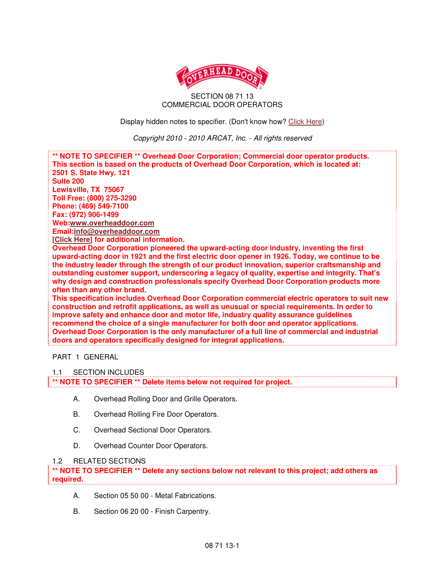

### SECTION 08 71 13 COMMERCIAL DOOR OPERATORS

Display hidden notes to specifier. (Don't know how? Click Here)

Copyright 2010 - 2010 ARCAT, Inc. - All rights reserved



# PART 1 GENERAL

#### 1.1 SECTION INCLUDES

**\*\* NOTE TO SPECIFIER \*\* Delete items below not required for project.** 

- A. Overhead Rolling Door and Grille Operators.
- B. Overhead Rolling Fire Door Operators.
- C. Overhead Sectional Door Operators.
- D. Overhead Counter Door Operators.

#### 1.2 RELATED SECTIONS

**\*\* NOTE TO SPECIFIER \*\* Delete any sections below not relevant to this project; add others as required.** 

- A. Section 05 50 00 Metal Fabrications.
- B. Section 06 20 00 Finish Carpentry.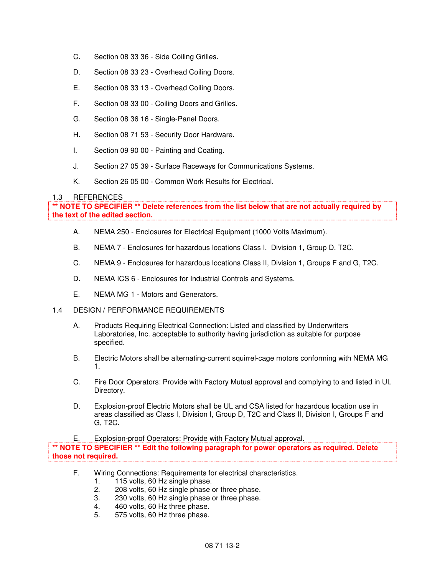- C. Section 08 33 36 Side Coiling Grilles.
- D. Section 08 33 23 Overhead Coiling Doors.
- E. Section 08 33 13 Overhead Coiling Doors.
- F. Section 08 33 00 Coiling Doors and Grilles.
- G. Section 08 36 16 Single-Panel Doors.
- H. Section 08 71 53 Security Door Hardware.
- I. Section 09 90 00 Painting and Coating.
- J. Section 27 05 39 Surface Raceways for Communications Systems.
- K. Section 26 05 00 Common Work Results for Electrical.

# 1.3 REFERENCES

**\*\* NOTE TO SPECIFIER \*\* Delete references from the list below that are not actually required by the text of the edited section.** 

- A. NEMA 250 Enclosures for Electrical Equipment (1000 Volts Maximum).
- B. NEMA 7 Enclosures for hazardous locations Class I, Division 1, Group D, T2C.
- C. NEMA 9 Enclosures for hazardous locations Class II, Division 1, Groups F and G, T2C.
- D. NEMA ICS 6 Enclosures for Industrial Controls and Systems.
- E. NEMA MG 1 Motors and Generators.
- 1.4 DESIGN / PERFORMANCE REQUIREMENTS
	- A. Products Requiring Electrical Connection: Listed and classified by Underwriters Laboratories, Inc. acceptable to authority having jurisdiction as suitable for purpose specified.
	- B. Electric Motors shall be alternating-current squirrel-cage motors conforming with NEMA MG 1.
	- C. Fire Door Operators: Provide with Factory Mutual approval and complying to and listed in UL Directory.
	- D. Explosion-proof Electric Motors shall be UL and CSA listed for hazardous location use in areas classified as Class I, Division I, Group D, T2C and Class II, Division I, Groups F and G, T2C.
	- E. Explosion-proof Operators: Provide with Factory Mutual approval.

**\*\* NOTE TO SPECIFIER \*\* Edit the following paragraph for power operators as required. Delete those not required.** 

- F. Wiring Connections: Requirements for electrical characteristics.
	- 1. 115 volts, 60 Hz single phase.
	- 2. 208 volts, 60 Hz single phase or three phase.
	- 3. 230 volts, 60 Hz single phase or three phase.
	- 4. 460 volts, 60 Hz three phase.
	- 5. 575 volts, 60 Hz three phase.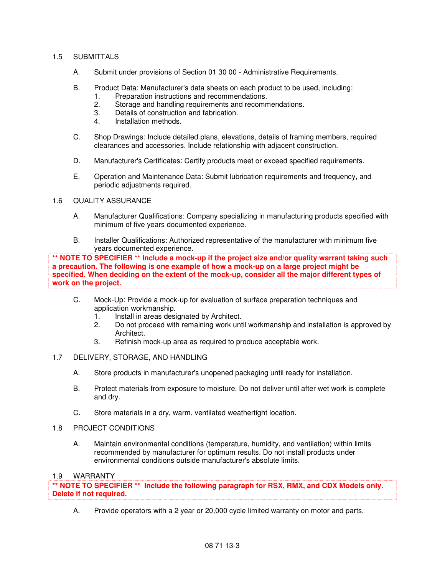# 1.5 SUBMITTALS

- A. Submit under provisions of Section 01 30 00 Administrative Requirements.
- B. Product Data: Manufacturer's data sheets on each product to be used, including:
	- 1. Preparation instructions and recommendations.
	- 2. Storage and handling requirements and recommendations.
	- 3. Details of construction and fabrication.
	- 4. Installation methods.
- C. Shop Drawings: Include detailed plans, elevations, details of framing members, required clearances and accessories. Include relationship with adjacent construction.
- D. Manufacturer's Certificates: Certify products meet or exceed specified requirements.
- E. Operation and Maintenance Data: Submit lubrication requirements and frequency, and periodic adjustments required.

# 1.6 QUALITY ASSURANCE

- A. Manufacturer Qualifications: Company specializing in manufacturing products specified with minimum of five years documented experience.
- B. Installer Qualifications: Authorized representative of the manufacturer with minimum five years documented experience.

**\*\* NOTE TO SPECIFIER \*\* Include a mock-up if the project size and/or quality warrant taking such a precaution. The following is one example of how a mock-up on a large project might be specified. When deciding on the extent of the mock-up, consider all the major different types of work on the project.** 

- C. Mock-Up: Provide a mock-up for evaluation of surface preparation techniques and application workmanship.
	- 1. Install in areas designated by Architect.
	- 2. Do not proceed with remaining work until workmanship and installation is approved by Architect.
	- 3. Refinish mock-up area as required to produce acceptable work.
- 1.7 DELIVERY, STORAGE, AND HANDLING
	- A. Store products in manufacturer's unopened packaging until ready for installation.
	- B. Protect materials from exposure to moisture. Do not deliver until after wet work is complete and dry.
	- C. Store materials in a dry, warm, ventilated weathertight location.
- 1.8 PROJECT CONDITIONS
	- A. Maintain environmental conditions (temperature, humidity, and ventilation) within limits recommended by manufacturer for optimum results. Do not install products under environmental conditions outside manufacturer's absolute limits.

#### 1.9 WARRANTY

**\*\* NOTE TO SPECIFIER \*\* Include the following paragraph for RSX, RMX, and CDX Models only. Delete if not required.** 

A. Provide operators with a 2 year or 20,000 cycle limited warranty on motor and parts.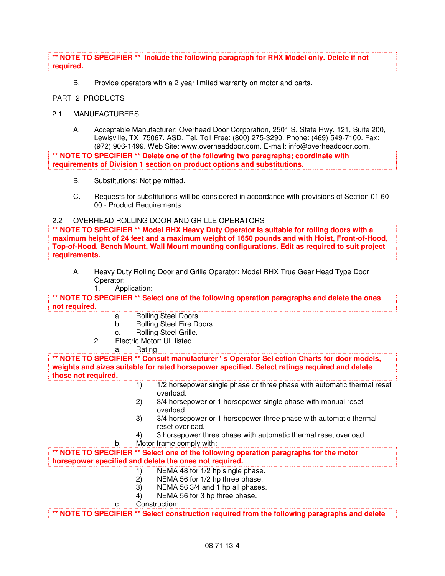### **\*\* NOTE TO SPECIFIER \*\* Include the following paragraph for RHX Model only. Delete if not required.**

B. Provide operators with a 2 year limited warranty on motor and parts.

# PART 2 PRODUCTS

### 2.1 MANUFACTURERS

A. Acceptable Manufacturer: Overhead Door Corporation, 2501 S. State Hwy. 121, Suite 200, Lewisville, TX 75067. ASD. Tel. Toll Free: (800) 275-3290. Phone: (469) 549-7100. Fax: (972) 906-1499. Web Site: www.overheaddoor.com. E-mail: info@overheaddoor.com.

**\*\* NOTE TO SPECIFIER \*\* Delete one of the following two paragraphs; coordinate with requirements of Division 1 section on product options and substitutions.** 

- B. Substitutions: Not permitted.
- C. Requests for substitutions will be considered in accordance with provisions of Section 01 60 00 - Product Requirements.

#### 2.2 OVERHEAD ROLLING DOOR AND GRILLE OPERATORS

**\*\* NOTE TO SPECIFIER \*\* Model RHX Heavy Duty Operator is suitable for rolling doors with a maximum height of 24 feet and a maximum weight of 1650 pounds and with Hoist, Front-of-Hood, Top-of-Hood, Bench Mount, Wall Mount mounting configurations. Edit as required to suit project requirements.** 

A. Heavy Duty Rolling Door and Grille Operator: Model RHX True Gear Head Type Door Operator:

1. Application:

**\*\* NOTE TO SPECIFIER \*\* Select one of the following operation paragraphs and delete the ones not required.** 

- a. Rolling Steel Doors.
- b. Rolling Steel Fire Doors.
- c. Rolling Steel Grille.
- 2. Electric Motor: UL listed.

#### a. Rating:

**\*\* NOTE TO SPECIFIER \*\* Consult manufacturer ' s Operator Sel ection Charts for door models, weights and sizes suitable for rated horsepower specified. Select ratings required and delete those not required.** 

- 1) 1/2 horsepower single phase or three phase with automatic thermal reset overload.
- 2) 3/4 horsepower or 1 horsepower single phase with manual reset overload.
- 3) 3/4 horsepower or 1 horsepower three phase with automatic thermal reset overload.
- 4) 3 horsepower three phase with automatic thermal reset overload.

b. Motor frame comply with:

**\*\* NOTE TO SPECIFIER \*\* Select one of the following operation paragraphs for the motor horsepower specified and delete the ones not required.** 

- 1) NEMA 48 for 1/2 hp single phase.
- 2) NEMA 56 for 1/2 hp three phase.
- 3) NEMA 56 3/4 and 1 hp all phases.
- 4) NEMA 56 for 3 hp three phase.

c. Construction:

**\*\* NOTE TO SPECIFIER \*\* Select construction required from the following paragraphs and delete**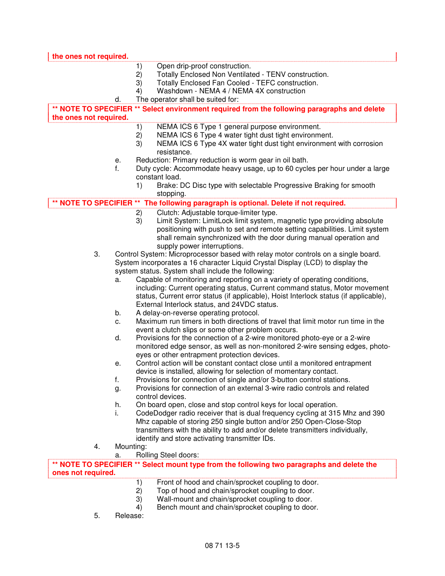| the ones not required. |           |    |                                                                                                                                                 |
|------------------------|-----------|----|-------------------------------------------------------------------------------------------------------------------------------------------------|
|                        |           | 1) | Open drip-proof construction.                                                                                                                   |
|                        |           | 2) | Totally Enclosed Non Ventilated - TENV construction.                                                                                            |
|                        |           | 3) | Totally Enclosed Fan Cooled - TEFC construction.                                                                                                |
|                        |           | 4) | Washdown - NEMA 4 / NEMA 4X construction                                                                                                        |
|                        | d.        |    | The operator shall be suited for:                                                                                                               |
|                        |           |    | ** NOTE TO SPECIFIER ** Select environment required from the following paragraphs and delete                                                    |
| the ones not required. |           |    |                                                                                                                                                 |
|                        |           | 1) | NEMA ICS 6 Type 1 general purpose environment.                                                                                                  |
|                        |           | 2) | NEMA ICS 6 Type 4 water tight dust tight environment.                                                                                           |
|                        |           | 3) | NEMA ICS 6 Type 4X water tight dust tight environment with corrosion                                                                            |
|                        |           |    | resistance.                                                                                                                                     |
|                        | е.        |    | Reduction: Primary reduction is worm gear in oil bath.                                                                                          |
|                        | f.        |    | Duty cycle: Accommodate heavy usage, up to 60 cycles per hour under a large<br>constant load.                                                   |
|                        |           | 1) | Brake: DC Disc type with selectable Progressive Braking for smooth                                                                              |
|                        |           |    | stopping.                                                                                                                                       |
|                        |           |    | NOTE TO SPECIFIER ** The following paragraph is optional. Delete if not required.                                                               |
|                        |           | 2) | Clutch: Adjustable torque-limiter type.                                                                                                         |
|                        |           | 3) | Limit System: LimitLock limit system, magnetic type providing absolute                                                                          |
|                        |           |    | positioning with push to set and remote setting capabilities. Limit system                                                                      |
|                        |           |    | shall remain synchronized with the door during manual operation and                                                                             |
|                        |           |    | supply power interruptions.                                                                                                                     |
| 3.                     |           |    | Control System: Microprocessor based with relay motor controls on a single board.                                                               |
|                        |           |    | System incorporates a 16 character Liquid Crystal Display (LCD) to display the                                                                  |
|                        |           |    | system status. System shall include the following:                                                                                              |
|                        | a.        |    | Capable of monitoring and reporting on a variety of operating conditions,                                                                       |
|                        |           |    | including: Current operating status, Current command status, Motor movement                                                                     |
|                        |           |    | status, Current error status (if applicable), Hoist Interlock status (if applicable),<br>External Interlock status, and 24VDC status.           |
|                        | b.        |    | A delay-on-reverse operating protocol.                                                                                                          |
|                        | c.        |    | Maximum run timers in both directions of travel that limit motor run time in the                                                                |
|                        |           |    | event a clutch slips or some other problem occurs.                                                                                              |
|                        | d.        |    | Provisions for the connection of a 2-wire monitored photo-eye or a 2-wire                                                                       |
|                        |           |    | monitored edge sensor, as well as non-monitored 2-wire sensing edges, photo-                                                                    |
|                        |           |    | eyes or other entrapment protection devices.                                                                                                    |
|                        | е.        |    | Control action will be constant contact close until a monitored entrapment<br>device is installed, allowing for selection of momentary contact. |
|                        | f.        |    | Provisions for connection of single and/or 3-button control stations.                                                                           |
|                        | g.        |    | Provisions for connection of an external 3-wire radio controls and related                                                                      |
|                        |           |    | control devices.                                                                                                                                |
|                        | h.        |    | On board open, close and stop control keys for local operation.                                                                                 |
|                        | i.        |    | CodeDodger radio receiver that is dual frequency cycling at 315 Mhz and 390                                                                     |
|                        |           |    | Mhz capable of storing 250 single button and/or 250 Open-Close-Stop                                                                             |
|                        |           |    | transmitters with the ability to add and/or delete transmitters individually,                                                                   |
|                        |           |    | identify and store activating transmitter IDs.                                                                                                  |
| 4.                     | Mounting: |    |                                                                                                                                                 |
|                        | a.        |    | Rolling Steel doors:                                                                                                                            |
| ones not required.     |           |    | ** NOTE TO SPECIFIER ** Select mount type from the following two paragraphs and delete the                                                      |
|                        |           | 1) | Front of hood and chain/sprocket coupling to door.                                                                                              |
|                        |           | 2) | Top of hood and chain/sprocket coupling to door.                                                                                                |
|                        |           | 3) | Wall-mount and chain/sprocket coupling to door.                                                                                                 |
|                        |           | 4) | Bench mount and chain/sprocket coupling to door.                                                                                                |

5. Release: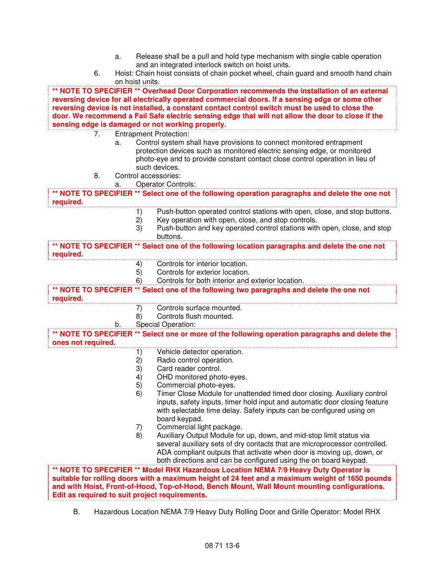- a. Release shall be a pull and hold type mechanism with single cable operation and an integrated interlock switch on hoist units.
- 6. Hoist: Chain hoist consists of chain pocket wheel, chain guard and smooth hand chain on hoist units.

**\*\* NOTE TO SPECIFIER \*\* Overhead Door Corporation recommends the installation of an external reversing device for all electrically operated commercial doors. If a sensing edge or some other reversing device is not installed, a constant contact control switch must be used to close the door. We recommend a Fail Safe electric sensing edge that will not allow the door to close if the sensing edge is damaged or not working properly.** 

- 7. Entrapment Protection:
	- a. Control system shall have provisions to connect monitored entrapment protection devices such as monitored electric sensing edge, or monitored photo-eye and to provide constant contact close control operation in lieu of such devices.
- 8. Control accessories:
	- Operator Controls:

**\*\* NOTE TO SPECIFIER \*\* Select one of the following operation paragraphs and delete the one not required.** 

- 1) Push-button operated control stations with open, close, and stop buttons.<br>2) Key operation with open, close, and stop controls.
- Key operation with open, close, and stop controls.
- 3) Push-button and key operated control stations with open, close, and stop buttons.

**\*\* NOTE TO SPECIFIER \*\* Select one of the following location paragraphs and delete the one not required.** 

- 4) Controls for interior location.<br>5) Controls for exterior location.
- 5) Controls for exterior location.
- 6) Controls for both interior and exterior location.

**\*\* NOTE TO SPECIFIER \*\* Select one of the following two paragraphs and delete the one not required.** 

- 7) Controls surface mounted.
- 8) Controls flush mounted.
- b. Special Operation:

**\*\* NOTE TO SPECIFIER \*\* Select one or more of the following operation paragraphs and delete the ones not required.** 

- 1) Vehicle detector operation.<br>2) Radio control operation.
- 2) Radio control operation.<br>3) Card reader control.
- Card reader control.
- 4) OHD monitored photo-eyes.
- 5) Commercial photo-eyes.
- 6) Timer Close Module for unattended timed door closing. Auxiliary control inputs, safety inputs, timer hold input and automatic door closing feature with selectable time delay. Safety inputs can be configured using on board keypad.
- 7) Commercial light package.
- 8) Auxiliary Output Module for up, down, and mid-stop limit status via several auxiliary sets of dry contacts that are microprocessor controlled. ADA compliant outputs that activate when door is moving up, down, or both directions and can be configured using the on board keypad.

**\*\* NOTE TO SPECIFIER \*\* Model RHX Hazardous Location NEMA 7/9 Heavy Duty Operator is suitable for rolling doors with a maximum height of 24 feet and a maximum weight of 1650 pounds and with Hoist, Front-of-Hood, Top-of-Hood, Bench Mount, Wall Mount mounting configurations. Edit as required to suit project requirements.** 

B. Hazardous Location NEMA 7/9 Heavy Duty Rolling Door and Grille Operator: Model RHX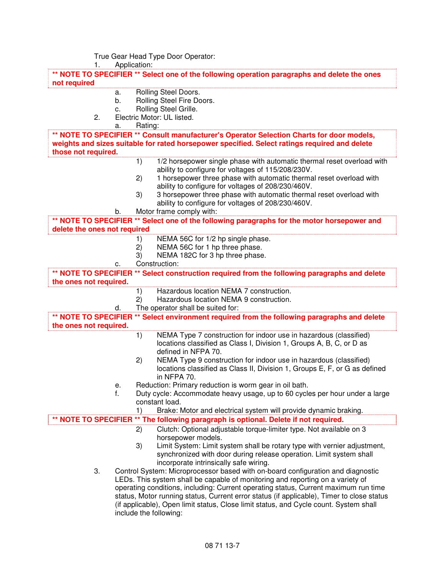True Gear Head Type Door Operator:<br>1. Application:

Application:

**\*\* NOTE TO SPECIFIER \*\* Select one of the following operation paragraphs and delete the ones not required** 

- a. Rolling Steel Doors.
	- b. Rolling Steel Fire Doors.
- c. Rolling Steel Grille.
- 2. Electric Motor: UL listed.

| a.                           | Rating: |                                                                                                                                                 |
|------------------------------|---------|-------------------------------------------------------------------------------------------------------------------------------------------------|
|                              |         | ** NOTE TO SPECIFIER ** Consult manufacturer's Operator Selection Charts for door models,                                                       |
|                              |         | weights and sizes suitable for rated horsepower specified. Select ratings required and delete                                                   |
| those not required.          |         |                                                                                                                                                 |
|                              | 1)      | 1/2 horsepower single phase with automatic thermal reset overload with<br>ability to configure for voltages of 115/208/230V.                    |
|                              | 2)      | 1 horsepower three phase with automatic thermal reset overload with<br>ability to configure for voltages of 208/230/460V.                       |
|                              | 3)      | 3 horsepower three phase with automatic thermal reset overload with<br>ability to configure for voltages of 208/230/460V.                       |
| b.                           |         | Motor frame comply with:                                                                                                                        |
|                              |         | ** NOTE TO SPECIFIER ** Select one of the following paragraphs for the motor horsepower and                                                     |
| delete the ones not required |         |                                                                                                                                                 |
|                              | 1)      | NEMA 56C for 1/2 hp single phase.                                                                                                               |
|                              | 2)      | NEMA 56C for 1 hp three phase.                                                                                                                  |
|                              | 3)      | NEMA 182C for 3 hp three phase.                                                                                                                 |
| с.                           |         | Construction:                                                                                                                                   |
|                              |         | ** NOTE TO SPECIFIER ** Select construction required from the following paragraphs and delete                                                   |
| the ones not required.       |         |                                                                                                                                                 |
|                              | 1)      | Hazardous location NEMA 7 construction.                                                                                                         |
|                              | 2)      | Hazardous location NEMA 9 construction.                                                                                                         |
| d.                           |         | The operator shall be suited for:                                                                                                               |
|                              |         | ** NOTE TO SPECIFIER ** Select environment required from the following paragraphs and delete                                                    |
| the ones not required.       |         |                                                                                                                                                 |
|                              | 1)      | NEMA Type 7 construction for indoor use in hazardous (classified)                                                                               |
|                              |         | locations classified as Class I, Division 1, Groups A, B, C, or D as<br>defined in NFPA 70.                                                     |
|                              | 2)      | NEMA Type 9 construction for indoor use in hazardous (classified)<br>locations classified as Class II, Division 1, Groups E, F, or G as defined |
|                              |         | in NFPA 70.                                                                                                                                     |
| е.                           |         | Reduction: Primary reduction is worm gear in oil bath.                                                                                          |
| f.                           |         | Duty cycle: Accommodate heavy usage, up to 60 cycles per hour under a large<br>constant load.                                                   |
|                              | 1)      | Brake: Motor and electrical system will provide dynamic braking.                                                                                |
|                              |         | NOTE TO SPECIFIER ** The following paragraph is optional. Delete if not required.                                                               |
|                              | 2)      | Clutch: Optional adjustable torque-limiter type. Not available on 3<br>horsepower models.                                                       |
|                              | 3)      | Limit System: Limit system shall be rotary type with vernier adjustment,                                                                        |
|                              |         | synchronized with door during release operation. Limit system shall                                                                             |
|                              |         | incorporate intrinsically safe wiring.                                                                                                          |
| 3.                           |         | Control System: Microprocessor based with on-board configuration and diagnostic                                                                 |
|                              |         | LEDs. This system shall be capable of monitoring and reporting on a variety of                                                                  |
|                              |         | operating conditions, including: Current operating status, Current maximum run time                                                             |
|                              |         | status, Motor running status, Current error status (if applicable), Timer to close status                                                       |
|                              |         | (if applicable), Open limit status, Close limit status, and Cycle count. System shall                                                           |
|                              |         | include the following:                                                                                                                          |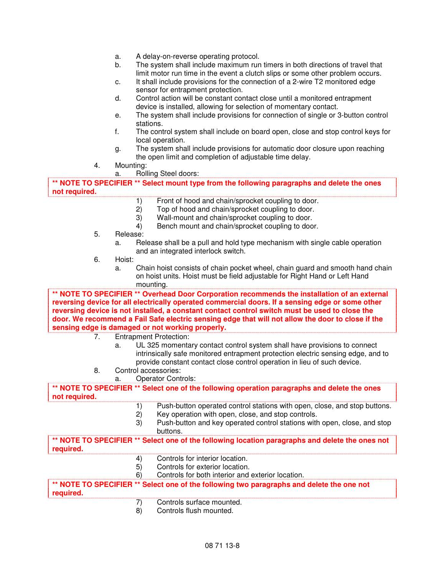- a. A delay-on-reverse operating protocol.
- b. The system shall include maximum run timers in both directions of travel that limit motor run time in the event a clutch slips or some other problem occurs.
- c. It shall include provisions for the connection of a 2-wire T2 monitored edge sensor for entrapment protection.
- d. Control action will be constant contact close until a monitored entrapment device is installed, allowing for selection of momentary contact.
- e. The system shall include provisions for connection of single or 3-button control stations.
- f. The control system shall include on board open, close and stop control keys for local operation.
- g. The system shall include provisions for automatic door closure upon reaching the open limit and completion of adjustable time delay.
- 4. Mounting:

a. Rolling Steel doors:

**\*\* NOTE TO SPECIFIER \*\* Select mount type from the following paragraphs and delete the ones not required.** 

- 1) Front of hood and chain/sprocket coupling to door.
- 2) Top of hood and chain/sprocket coupling to door.
- 3) Wall-mount and chain/sprocket coupling to door.
- 4) Bench mount and chain/sprocket coupling to door.
- 5. Release:
	- a. Release shall be a pull and hold type mechanism with single cable operation and an integrated interlock switch.
- 6. Hoist:
	- a. Chain hoist consists of chain pocket wheel, chain guard and smooth hand chain on hoist units. Hoist must be field adjustable for Right Hand or Left Hand mounting.

**\*\* NOTE TO SPECIFIER \*\* Overhead Door Corporation recommends the installation of an external reversing device for all electrically operated commercial doors. If a sensing edge or some other reversing device is not installed, a constant contact control switch must be used to close the door. We recommend a Fail Safe electric sensing edge that will not allow the door to close if the sensing edge is damaged or not working properly.** 

- 7. Entrapment Protection:
	- UL 325 momentary contact control system shall have provisions to connect intrinsically safe monitored entrapment protection electric sensing edge, and to provide constant contact close control operation in lieu of such device.
- 8. Control accessories:
	- a. Operator Controls:

**\*\* NOTE TO SPECIFIER \*\* Select one of the following operation paragraphs and delete the ones not required.** 

- 1) Push-button operated control stations with open, close, and stop buttons.<br>2) Key operation with open, close, and stop controls.
- Key operation with open, close, and stop controls.
- 3) Push-button and key operated control stations with open, close, and stop buttons.

**\*\* NOTE TO SPECIFIER \*\* Select one of the following location paragraphs and delete the ones not required.** 

- 4) Controls for interior location.
- 5) Controls for exterior location.
- 6) Controls for both interior and exterior location.

**\*\* NOTE TO SPECIFIER \*\* Select one of the following two paragraphs and delete the one not required.** 

- 7) Controls surface mounted.
- 8) Controls flush mounted.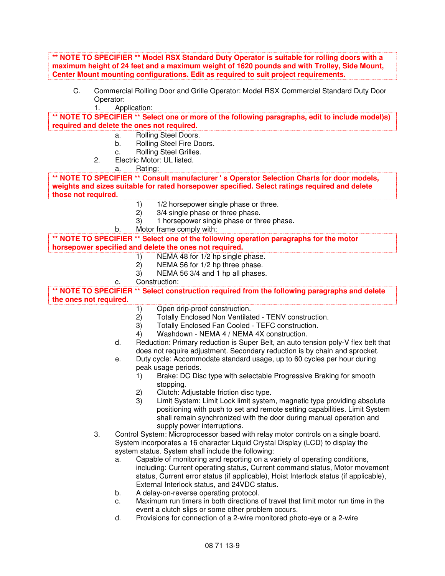**\*\* NOTE TO SPECIFIER \*\* Model RSX Standard Duty Operator is suitable for rolling doors with a maximum height of 24 feet and a maximum weight of 1620 pounds and with Trolley, Side Mount, Center Mount mounting configurations. Edit as required to suit project requirements.** 

C. Commercial Rolling Door and Grille Operator: Model RSX Commercial Standard Duty Door Operator:

1. Application:

**\*\* NOTE TO SPECIFIER \*\* Select one or more of the following paragraphs, edit to include model)s) required and delete the ones not required.** 

- a. Rolling Steel Doors.
- b. Rolling Steel Fire Doors.
- c. Rolling Steel Grilles.
- 2. Electric Motor: UL listed.

a. Rating:

**\*\* NOTE TO SPECIFIER \*\* Consult manufacturer ' s Operator Selection Charts for door models, weights and sizes suitable for rated horsepower specified. Select ratings required and delete those not required.** 

- 1)  $1/2$  horsepower single phase or three.<br>2)  $3/4$  single phase or three phase.
- 2) 3/4 single phase or three phase.
- 3) 1 horsepower single phase or three phase.
- b. Motor frame comply with:

**\*\* NOTE TO SPECIFIER \*\* Select one of the following operation paragraphs for the motor** 

# **horsepower specified and delete the ones not required.**

- 1) NEMA 48 for 1/2 hp single phase.<br>2) NEMA 56 for 1/2 hp three phase.
- NEMA 56 for 1/2 hp three phase.
- 3) NEMA 56 3/4 and 1 hp all phases.
- c. Construction:

**\*\* NOTE TO SPECIFIER \*\* Select construction required from the following paragraphs and delete the ones not required.** 

- 1) Open drip-proof construction.
- 2) Totally Enclosed Non Ventilated TENV construction.<br>3) Totally Enclosed Fan Cooled TEFC construction.
- Totally Enclosed Fan Cooled TEFC construction.
- 4) Washdown NEMA 4 / NEMA 4X construction.
- d. Reduction: Primary reduction is Super Belt, an auto tension poly-V flex belt that does not require adjustment. Secondary reduction is by chain and sprocket.
- e. Duty cycle: Accommodate standard usage, up to 60 cycles per hour during peak usage periods.
	- 1) Brake: DC Disc type with selectable Progressive Braking for smooth stopping.
	- 2) Clutch: Adjustable friction disc type.
	- 3) Limit System: Limit Lock limit system, magnetic type providing absolute positioning with push to set and remote setting capabilities. Limit System shall remain synchronized with the door during manual operation and supply power interruptions.
- 3. Control System: Microprocessor based with relay motor controls on a single board. System incorporates a 16 character Liquid Crystal Display (LCD) to display the system status. System shall include the following:
	- a. Capable of monitoring and reporting on a variety of operating conditions, including: Current operating status, Current command status, Motor movement status, Current error status (if applicable), Hoist Interlock status (if applicable), External Interlock status, and 24VDC status.
	- b. A delay-on-reverse operating protocol.
	- c. Maximum run timers in both directions of travel that limit motor run time in the event a clutch slips or some other problem occurs.
	- d. Provisions for connection of a 2-wire monitored photo-eye or a 2-wire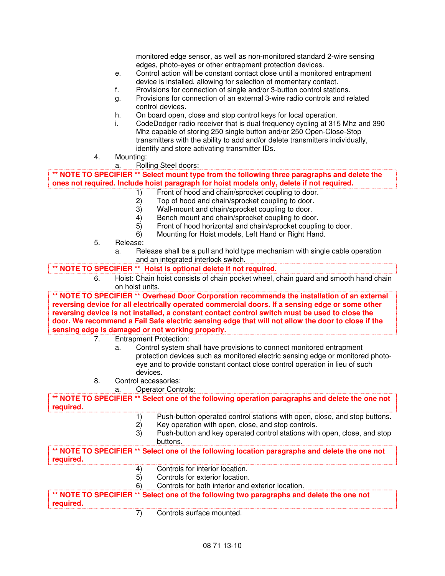monitored edge sensor, as well as non-monitored standard 2-wire sensing edges, photo-eyes or other entrapment protection devices.

- e. Control action will be constant contact close until a monitored entrapment device is installed, allowing for selection of momentary contact.
- f. Provisions for connection of single and/or 3-button control stations.
- g. Provisions for connection of an external 3-wire radio controls and related control devices.
- h. On board open, close and stop control keys for local operation.
- i. CodeDodger radio receiver that is dual frequency cycling at 315 Mhz and 390 Mhz capable of storing 250 single button and/or 250 Open-Close-Stop transmitters with the ability to add and/or delete transmitters individually, identify and store activating transmitter IDs.
- 4. Mounting:
	- a. Rolling Steel doors:

**\*\* NOTE TO SPECIFIER \*\* Select mount type from the following three paragraphs and delete the ones not required. Include hoist paragraph for hoist models only, delete if not required.** 

- 1) Front of hood and chain/sprocket coupling to door.<br>2) Top of hood and chain/sprocket coupling to door.
- Top of hood and chain/sprocket coupling to door.
- 3) Wall-mount and chain/sprocket coupling to door.
- 
- 4) Bench mount and chain/sprocket coupling to door.<br>5) Front of hood horizontal and chain/sprocket couplin Front of hood horizontal and chain/sprocket coupling to door.
- 6) Mounting for Hoist models, Left Hand or Right Hand.
- 5. Release:
	- a. Release shall be a pull and hold type mechanism with single cable operation and an integrated interlock switch.

#### **\*\* NOTE TO SPECIFIER \*\* Hoist is optional delete if not required.**

6. Hoist: Chain hoist consists of chain pocket wheel, chain guard and smooth hand chain on hoist units.

**\*\* NOTE TO SPECIFIER \*\* Overhead Door Corporation recommends the installation of an external reversing device for all electrically operated commercial doors. If a sensing edge or some other reversing device is not installed, a constant contact control switch must be used to close the door. We recommend a Fail Safe electric sensing edge that will not allow the door to close if the sensing edge is damaged or not working properly.** 

- 7. Entrapment Protection:
	- a. Control system shall have provisions to connect monitored entrapment protection devices such as monitored electric sensing edge or monitored photoeye and to provide constant contact close control operation in lieu of such devices.
- 8. Control accessories:
	- a. Operator Controls:

**\*\* NOTE TO SPECIFIER \*\* Select one of the following operation paragraphs and delete the one not required.** 

- 1) Push-button operated control stations with open, close, and stop buttons.
- 2) Key operation with open, close, and stop controls.
- 3) Push-button and key operated control stations with open, close, and stop buttons.

**\*\* NOTE TO SPECIFIER \*\* Select one of the following location paragraphs and delete the one not required.** 

- 4) Controls for interior location.
- 5) Controls for exterior location.
- 6) Controls for both interior and exterior location.

**\*\* NOTE TO SPECIFIER \*\* Select one of the following two paragraphs and delete the one not required.** 

7) Controls surface mounted.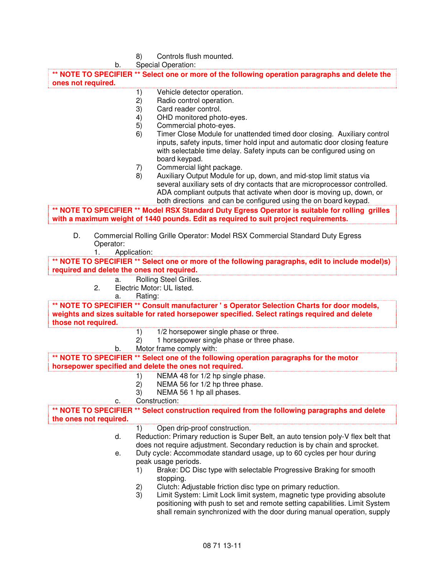| 8) | Controls flush mounted. |
|----|-------------------------|
|----|-------------------------|

|                        | b.              |              | Special Operation:                                                                                                                                                                                                                                                                              |
|------------------------|-----------------|--------------|-------------------------------------------------------------------------------------------------------------------------------------------------------------------------------------------------------------------------------------------------------------------------------------------------|
|                        |                 |              | ** NOTE TO SPECIFIER ** Select one or more of the following operation paragraphs and delete the                                                                                                                                                                                                 |
| ones not required.     |                 |              |                                                                                                                                                                                                                                                                                                 |
|                        |                 | 1)           | Vehicle detector operation.                                                                                                                                                                                                                                                                     |
|                        |                 | 2)           | Radio control operation.                                                                                                                                                                                                                                                                        |
|                        |                 | 3)           | Card reader control.                                                                                                                                                                                                                                                                            |
|                        |                 | 4)           | OHD monitored photo-eyes.                                                                                                                                                                                                                                                                       |
|                        |                 | 5)           | Commercial photo-eyes.                                                                                                                                                                                                                                                                          |
|                        |                 | 6)           | Timer Close Module for unattended timed door closing. Auxiliary control<br>inputs, safety inputs, timer hold input and automatic door closing feature<br>with selectable time delay. Safety inputs can be configured using on<br>board keypad.<br>Commercial light package.                     |
|                        |                 | 7)<br>8)     | Auxiliary Output Module for up, down, and mid-stop limit status via                                                                                                                                                                                                                             |
|                        |                 |              | several auxiliary sets of dry contacts that are microprocessor controlled.<br>ADA compliant outputs that activate when door is moving up, down, or<br>both directions and can be configured using the on board keypad.                                                                          |
|                        |                 |              | ** NOTE TO SPECIFIER ** Model RSX Standard Duty Egress Operator is suitable for rolling grilles                                                                                                                                                                                                 |
|                        |                 |              | with a maximum weight of 1440 pounds. Edit as required to suit project requirements.                                                                                                                                                                                                            |
| D.                     | Operator:<br>1. | Application: | Commercial Rolling Grille Operator: Model RSX Commercial Standard Duty Egress                                                                                                                                                                                                                   |
|                        |                 |              | ** NOTE TO SPECIFIER ** Select one or more of the following paragraphs, edit to include model)s)                                                                                                                                                                                                |
|                        |                 |              | required and delete the ones not required.                                                                                                                                                                                                                                                      |
|                        | a.              |              | Rolling Steel Grilles.                                                                                                                                                                                                                                                                          |
|                        | 2.              |              | Electric Motor: UL listed.                                                                                                                                                                                                                                                                      |
|                        | a.              | Rating:      |                                                                                                                                                                                                                                                                                                 |
| those not required.    |                 |              | ** NOTE TO SPECIFIER ** Consult manufacturer 's Operator Selection Charts for door models,<br>weights and sizes suitable for rated horsepower specified. Select ratings required and delete                                                                                                     |
|                        |                 | 1)           | 1/2 horsepower single phase or three.                                                                                                                                                                                                                                                           |
|                        |                 | 2)           | 1 horsepower single phase or three phase.                                                                                                                                                                                                                                                       |
|                        | b.              |              | Motor frame comply with:                                                                                                                                                                                                                                                                        |
|                        |                 |              | ** NOTE TO SPECIFIER ** Select one of the following operation paragraphs for the motor                                                                                                                                                                                                          |
|                        |                 |              | horsepower specified and delete the ones not required.                                                                                                                                                                                                                                          |
|                        |                 | 1)           | NEMA 48 for 1/2 hp single phase.                                                                                                                                                                                                                                                                |
|                        |                 | 2)           | NEMA 56 for 1/2 hp three phase.                                                                                                                                                                                                                                                                 |
|                        |                 | 3)           | NEMA 56 1 hp all phases.<br>Construction:                                                                                                                                                                                                                                                       |
|                        | c.              |              |                                                                                                                                                                                                                                                                                                 |
| the ones not required. |                 |              | ** NOTE TO SPECIFIER ** Select construction required from the following paragraphs and delete                                                                                                                                                                                                   |
|                        | d.              | 1)           | Open drip-proof construction.<br>Reduction: Primary reduction is Super Belt, an auto tension poly-V flex belt that<br>does not require adjustment. Secondary reduction is by chain and sprocket.                                                                                                |
|                        | е.              |              | Duty cycle: Accommodate standard usage, up to 60 cycles per hour during<br>peak usage periods.                                                                                                                                                                                                  |
|                        |                 | 1)           | Brake: DC Disc type with selectable Progressive Braking for smooth<br>stopping.                                                                                                                                                                                                                 |
|                        |                 | 2)<br>3)     | Clutch: Adjustable friction disc type on primary reduction.<br>Limit System: Limit Lock limit system, magnetic type providing absolute<br>positioning with push to set and remote setting capabilities. Limit System<br>shall remain synchronized with the door during manual operation, supply |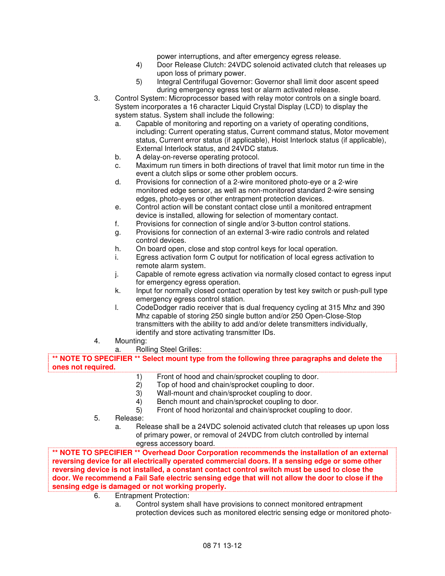power interruptions, and after emergency egress release.

- 4) Door Release Clutch: 24VDC solenoid activated clutch that releases up upon loss of primary power.
- 5) Integral Centrifugal Governor: Governor shall limit door ascent speed during emergency egress test or alarm activated release.
- 3. Control System: Microprocessor based with relay motor controls on a single board. System incorporates a 16 character Liquid Crystal Display (LCD) to display the system status. System shall include the following:
	- a. Capable of monitoring and reporting on a variety of operating conditions, including: Current operating status, Current command status, Motor movement status, Current error status (if applicable), Hoist Interlock status (if applicable), External Interlock status, and 24VDC status.
	- b. A delay-on-reverse operating protocol.
	- c. Maximum run timers in both directions of travel that limit motor run time in the event a clutch slips or some other problem occurs.
	- d. Provisions for connection of a 2-wire monitored photo-eye or a 2-wire monitored edge sensor, as well as non-monitored standard 2-wire sensing edges, photo-eyes or other entrapment protection devices.
	- e. Control action will be constant contact close until a monitored entrapment device is installed, allowing for selection of momentary contact.
	- f. Provisions for connection of single and/or 3-button control stations.
	- g. Provisions for connection of an external 3-wire radio controls and related control devices.
	- h. On board open, close and stop control keys for local operation.
	- i. Egress activation form C output for notification of local egress activation to remote alarm system.
	- j. Capable of remote egress activation via normally closed contact to egress input for emergency egress operation.
	- k. Input for normally closed contact operation by test key switch or push-pull type emergency egress control station.
	- l. CodeDodger radio receiver that is dual frequency cycling at 315 Mhz and 390 Mhz capable of storing 250 single button and/or 250 Open-Close-Stop transmitters with the ability to add and/or delete transmitters individually, identify and store activating transmitter IDs.
- 4. Mounting:
	- a. Rolling Steel Grilles:

**\*\* NOTE TO SPECIFIER \*\* Select mount type from the following three paragraphs and delete the ones not required.** 

- 1) Front of hood and chain/sprocket coupling to door.<br>2) Top of hood and chain/sprocket coupling to door.
- Top of hood and chain/sprocket coupling to door.
- 3) Wall-mount and chain/sprocket coupling to door.
- 4) Bench mount and chain/sprocket coupling to door.
- 5) Front of hood horizontal and chain/sprocket coupling to door.
- 5. Release:
	- a. Release shall be a 24VDC solenoid activated clutch that releases up upon loss of primary power, or removal of 24VDC from clutch controlled by internal egress accessory board.

**\*\* NOTE TO SPECIFIER \*\* Overhead Door Corporation recommends the installation of an external reversing device for all electrically operated commercial doors. If a sensing edge or some other reversing device is not installed, a constant contact control switch must be used to close the door. We recommend a Fail Safe electric sensing edge that will not allow the door to close if the sensing edge is damaged or not working properly.** 

- 6. Entrapment Protection:
	- a. Control system shall have provisions to connect monitored entrapment protection devices such as monitored electric sensing edge or monitored photo-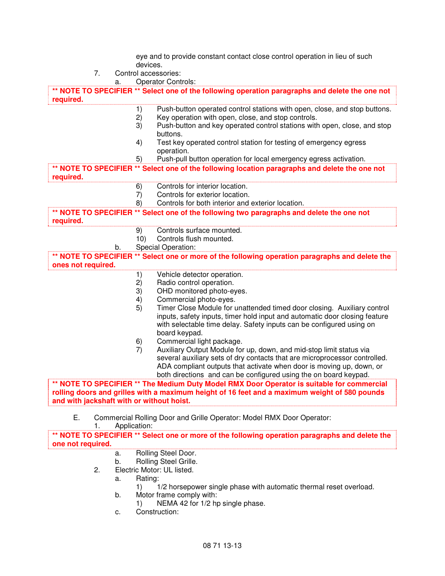eye and to provide constant contact close control operation in lieu of such devices.

- 7. Control accessories: a. Operator Controls: **\*\* NOTE TO SPECIFIER \*\* Select one of the following operation paragraphs and delete the one not required.**  1) Push-button operated control stations with open, close, and stop buttons. 2) Key operation with open, close, and stop controls. 3) Push-button and key operated control stations with open, close, and stop buttons. 4) Test key operated control station for testing of emergency egress operation. 5) Push-pull button operation for local emergency egress activation. **\*\* NOTE TO SPECIFIER \*\* Select one of the following location paragraphs and delete the one not required.**  6) Controls for interior location. 7) Controls for exterior location. 8) Controls for both interior and exterior location. **\*\* NOTE TO SPECIFIER \*\* Select one of the following two paragraphs and delete the one not required.**  9) Controls surface mounted. 10) Controls flush mounted. b. Special Operation: **\*\* NOTE TO SPECIFIER \*\* Select one or more of the following operation paragraphs and delete the ones not required.**  1) Vehicle detector operation. 2) Radio control operation. 3) OHD monitored photo-eyes. 4) Commercial photo-eyes. 5) Timer Close Module for unattended timed door closing. Auxiliary control inputs, safety inputs, timer hold input and automatic door closing feature with selectable time delay. Safety inputs can be configured using on board keypad. 6) Commercial light package. 7) Auxiliary Output Module for up, down, and mid-stop limit status via several auxiliary sets of dry contacts that are microprocessor controlled. ADA compliant outputs that activate when door is moving up, down, or both directions and can be configured using the on board keypad. **\*\* NOTE TO SPECIFIER \*\* The Medium Duty Model RMX Door Operator is suitable for commercial rolling doors and grilles with a maximum height of 16 feet and a maximum weight of 580 pounds and with jackshaft with or without hoist.**  E. Commercial Rolling Door and Grille Operator: Model RMX Door Operator: 1. Application: **\*\* NOTE TO SPECIFIER \*\* Select one or more of the following operation paragraphs and delete the one not required.**  a. Rolling Steel Door. b. Rolling Steel Grille.
	- 2. Electric Motor: UL listed.
		- a. Rating:
			- 1) 1/2 horsepower single phase with automatic thermal reset overload.
		- b. Motor frame comply with:
			- 1) NEMA 42 for 1/2 hp single phase.
		- c. Construction: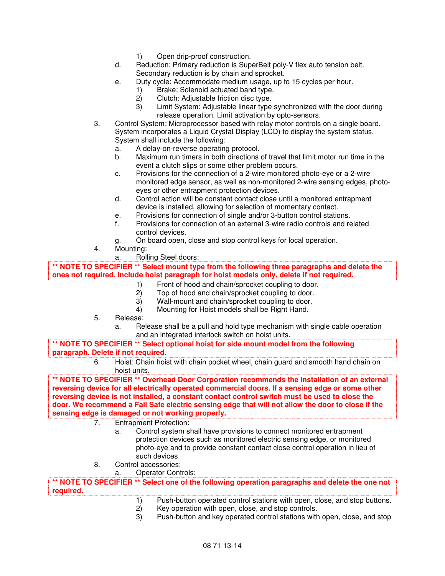- 1) Open drip-proof construction.
- d. Reduction: Primary reduction is SuperBelt poly-V flex auto tension belt. Secondary reduction is by chain and sprocket.
- e. Duty cycle: Accommodate medium usage, up to 15 cycles per hour.
	- 1) Brake: Solenoid actuated band type.
	- 2) Clutch: Adjustable friction disc type.
	- 3) Limit System: Adjustable linear type synchronized with the door during release operation. Limit activation by opto-sensors.
- 3. Control System: Microprocessor based with relay motor controls on a single board. System incorporates a Liquid Crystal Display (LCD) to display the system status. System shall include the following:
	- a. A delay-on-reverse operating protocol.
	- b. Maximum run timers in both directions of travel that limit motor run time in the event a clutch slips or some other problem occurs.
	- c. Provisions for the connection of a 2-wire monitored photo-eye or a 2-wire monitored edge sensor, as well as non-monitored 2-wire sensing edges, photoeyes or other entrapment protection devices.
	- d. Control action will be constant contact close until a monitored entrapment device is installed, allowing for selection of momentary contact.
	- e. Provisions for connection of single and/or 3-button control stations.
	- f. Provisions for connection of an external 3-wire radio controls and related control devices.
	- g. On board open, close and stop control keys for local operation.
- 4. Mounting:
	- a. Rolling Steel doors:

**\*\* NOTE TO SPECIFIER \*\* Select mount type from the following three paragraphs and delete the ones not required. Include hoist paragraph for hoist models only, delete if not required.** 

- 1) Front of hood and chain/sprocket coupling to door.<br>2) Top of hood and chain/sprocket coupling to door.
	- Top of hood and chain/sprocket coupling to door.
- 3) Wall-mount and chain/sprocket coupling to door.
- 4) Mounting for Hoist models shall be Right Hand.
- 5. Release:
	- a. Release shall be a pull and hold type mechanism with single cable operation and an integrated interlock switch on hoist units.

**\*\* NOTE TO SPECIFIER \*\* Select optional hoist for side mount model from the following paragraph. Delete if not required.** 

> 6. Hoist: Chain hoist with chain pocket wheel, chain guard and smooth hand chain on hoist units.

**\*\* NOTE TO SPECIFIER \*\* Overhead Door Corporation recommends the installation of an external reversing device for all electrically operated commercial doors. If a sensing edge or some other reversing device is not installed, a constant contact control switch must be used to close the door. We recommend a Fail Safe electric sensing edge that will not allow the door to close if the sensing edge is damaged or not working properly.** 

- 7. Entrapment Protection:
	- a. Control system shall have provisions to connect monitored entrapment protection devices such as monitored electric sensing edge, or monitored photo-eye and to provide constant contact close control operation in lieu of such devices
- 8. Control accessories:
	- a. Operator Controls:

**\*\* NOTE TO SPECIFIER \*\* Select one of the following operation paragraphs and delete the one not required.** 

- 1) Push-button operated control stations with open, close, and stop buttons.
- 2) Key operation with open, close, and stop controls.
- 3) Push-button and key operated control stations with open, close, and stop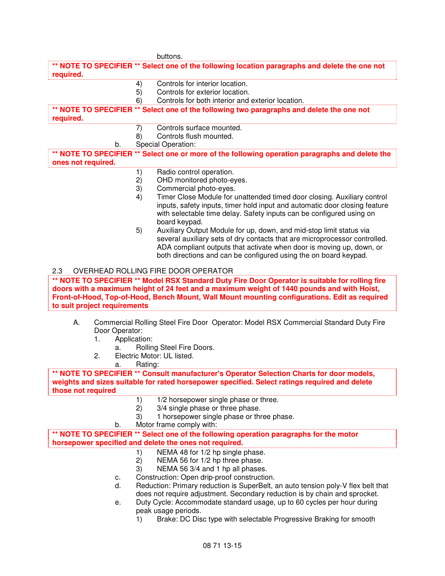|                    |                              |                | buttons.                                                                                                                                                                                                                                                                                       |
|--------------------|------------------------------|----------------|------------------------------------------------------------------------------------------------------------------------------------------------------------------------------------------------------------------------------------------------------------------------------------------------|
| required.          |                              |                | ** NOTE TO SPECIFIER ** Select one of the following location paragraphs and delete the one not                                                                                                                                                                                                 |
|                    |                              | 4)             | Controls for interior location.                                                                                                                                                                                                                                                                |
|                    |                              | 5)             | Controls for exterior location.                                                                                                                                                                                                                                                                |
|                    |                              | 6)             | Controls for both interior and exterior location.                                                                                                                                                                                                                                              |
| required.          |                              |                | ** NOTE TO SPECIFIER ** Select one of the following two paragraphs and delete the one not                                                                                                                                                                                                      |
|                    |                              | 7)             | Controls surface mounted.                                                                                                                                                                                                                                                                      |
|                    |                              | 8)             | Controls flush mounted.                                                                                                                                                                                                                                                                        |
|                    | b.                           |                | Special Operation:                                                                                                                                                                                                                                                                             |
| ones not required. |                              |                | ** NOTE TO SPECIFIER ** Select one or more of the following operation paragraphs and delete the                                                                                                                                                                                                |
|                    |                              | 1)             | Radio control operation.                                                                                                                                                                                                                                                                       |
|                    |                              | 2)             | OHD monitored photo-eyes.                                                                                                                                                                                                                                                                      |
|                    |                              | 3)             | Commercial photo-eyes.                                                                                                                                                                                                                                                                         |
|                    |                              | 4)             | Timer Close Module for unattended timed door closing. Auxiliary control                                                                                                                                                                                                                        |
|                    |                              |                | inputs, safety inputs, timer hold input and automatic door closing feature<br>with selectable time delay. Safety inputs can be configured using on<br>board keypad.                                                                                                                            |
|                    |                              | 5)             | Auxiliary Output Module for up, down, and mid-stop limit status via                                                                                                                                                                                                                            |
|                    |                              |                | several auxiliary sets of dry contacts that are microprocessor controlled.<br>ADA compliant outputs that activate when door is moving up, down, or<br>both directions and can be configured using the on board keypad.                                                                         |
| 2.3                |                              |                | OVERHEAD ROLLING FIRE DOOR OPERATOR                                                                                                                                                                                                                                                            |
|                    | to suit project requirements |                | ** NOTE TO SPECIFIER ** Model RSX Standard Duty Fire Door Operator is suitable for rolling fire<br>doors with a maximum height of 24 feet and a maximum weight of 1440 pounds and with Hoist,<br>Front-of-Hood, Top-of-Hood, Bench Mount, Wall Mount mounting configurations. Edit as required |
| А.                 | Door Operator:<br>1.         | Application:   | Commercial Rolling Steel Fire Door Operator: Model RSX Commercial Standard Duty Fire                                                                                                                                                                                                           |
|                    | a.                           |                | Rolling Steel Fire Doors.                                                                                                                                                                                                                                                                      |
|                    | 2.<br>a.                     | Rating:        | Electric Motor: UL listed.                                                                                                                                                                                                                                                                     |
|                    |                              |                | NOTE TO SPECIFIER ** Consult manufacturer's Operator Selection Charts for door models,                                                                                                                                                                                                         |
| those not required |                              |                | weights and sizes suitable for rated horsepower specified. Select ratings required and delete                                                                                                                                                                                                  |
|                    |                              | 1)             | 1/2 horsepower single phase or three.                                                                                                                                                                                                                                                          |
|                    |                              | 2)             | 3/4 single phase or three phase.                                                                                                                                                                                                                                                               |
|                    |                              | 3)             | 1 horsepower single phase or three phase.                                                                                                                                                                                                                                                      |
|                    | b.                           |                | Motor frame comply with:                                                                                                                                                                                                                                                                       |
|                    |                              |                | ** NOTE TO SPECIFIER ** Select one of the following operation paragraphs for the motor                                                                                                                                                                                                         |
|                    |                              |                | horsepower specified and delete the ones not required.                                                                                                                                                                                                                                         |
|                    |                              | 1)<br>2)<br>3) | NEMA 48 for 1/2 hp single phase.<br>NEMA 56 for 1/2 hp three phase.<br>NEMA 56 3/4 and 1 hp all phases.                                                                                                                                                                                        |
|                    | c.                           |                | Construction: Open drip-proof construction.                                                                                                                                                                                                                                                    |
|                    | d.                           |                | Reduction: Primary reduction is SuperBelt, an auto tension poly-V flex belt that<br>does not require adjustment. Secondary reduction is by chain and sprocket.                                                                                                                                 |

- e. Duty Cycle: Accommodate standard usage, up to 60 cycles per hour during peak usage periods.
	- 1) Brake: DC Disc type with selectable Progressive Braking for smooth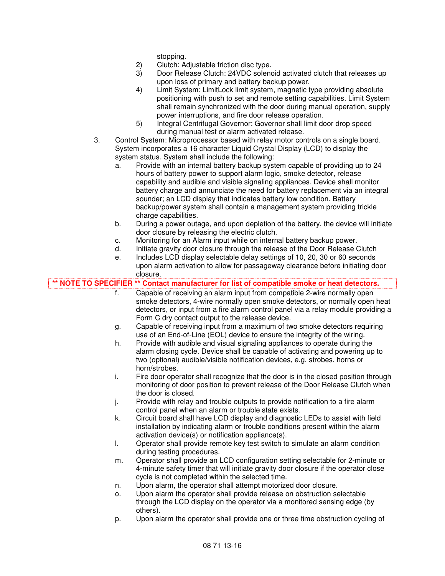stopping.

- 2) Clutch: Adjustable friction disc type.
- 3) Door Release Clutch: 24VDC solenoid activated clutch that releases up upon loss of primary and battery backup power.
- 4) Limit System: LimitLock limit system, magnetic type providing absolute positioning with push to set and remote setting capabilities. Limit System shall remain synchronized with the door during manual operation, supply power interruptions, and fire door release operation.
- 5) Integral Centrifugal Governor: Governor shall limit door drop speed during manual test or alarm activated release.
- 3. Control System: Microprocessor based with relay motor controls on a single board. System incorporates a 16 character Liquid Crystal Display (LCD) to display the system status. System shall include the following:
	- a. Provide with an internal battery backup system capable of providing up to 24 hours of battery power to support alarm logic, smoke detector, release capability and audible and visible signaling appliances. Device shall monitor battery charge and annunciate the need for battery replacement via an integral sounder; an LCD display that indicates battery low condition. Battery backup/power system shall contain a management system providing trickle charge capabilities.
	- b. During a power outage, and upon depletion of the battery, the device will initiate door closure by releasing the electric clutch.
	- c. Monitoring for an Alarm input while on internal battery backup power.
	- d. Initiate gravity door closure through the release of the Door Release Clutch
- e. Includes LCD display selectable delay settings of 10, 20, 30 or 60 seconds upon alarm activation to allow for passageway clearance before initiating door Closure.

|    | ** NOTE TO SPECIFIER ** Contact manufacturer for list of compatible smoke or heat detectors.                                                                                                                                                                |
|----|-------------------------------------------------------------------------------------------------------------------------------------------------------------------------------------------------------------------------------------------------------------|
| f. | Capable of receiving an alarm input from compatible 2-wire normally open<br>smoke detectors, 4-wire normally open smoke detectors, or normally open heat<br>detectors, or input from a fire alarm control panel via a relay module providing a              |
|    | Form C dry contact output to the release device.                                                                                                                                                                                                            |
| g. | Capable of receiving input from a maximum of two smoke detectors requiring<br>use of an End-of-Line (EOL) device to ensure the integrity of the wiring.                                                                                                     |
| h. | Provide with audible and visual signaling appliances to operate during the<br>alarm closing cycle. Device shall be capable of activating and powering up to<br>two (optional) audible/visible notification devices, e.g. strobes, horns or<br>horn/strobes. |
| i. | Fire door operator shall recognize that the door is in the closed position through<br>monitoring of door position to prevent release of the Door Release Clutch when<br>the door is closed.                                                                 |
| j. | Provide with relay and trouble outputs to provide notification to a fire alarm<br>control panel when an alarm or trouble state exists.                                                                                                                      |
| k. | Circuit board shall have LCD display and diagnostic LEDs to assist with field<br>installation by indicating alarm or trouble conditions present within the alarm<br>activation device(s) or notification appliance(s).                                      |
| I. | Operator shall provide remote key test switch to simulate an alarm condition<br>during testing procedures.                                                                                                                                                  |
| m. | Operator shall provide an LCD configuration setting selectable for 2-minute or<br>4-minute safety timer that will initiate gravity door closure if the operator close<br>cycle is not completed within the selected time.                                   |
| n. | Upon alarm, the operator shall attempt motorized door closure.                                                                                                                                                                                              |
| о. | Upon alarm the operator shall provide release on obstruction selectable<br>through the LCD display on the operator via a monitored sensing edge (by<br>others).                                                                                             |
| p. | Upon alarm the operator shall provide one or three time obstruction cycling of                                                                                                                                                                              |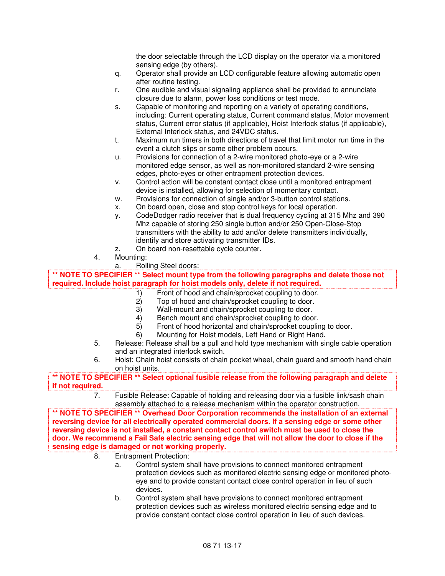the door selectable through the LCD display on the operator via a monitored sensing edge (by others).

- q. Operator shall provide an LCD configurable feature allowing automatic open after routine testing.
- r. One audible and visual signaling appliance shall be provided to annunciate closure due to alarm, power loss conditions or test mode.
- s. Capable of monitoring and reporting on a variety of operating conditions, including: Current operating status, Current command status, Motor movement status, Current error status (if applicable), Hoist Interlock status (if applicable), External Interlock status, and 24VDC status.
- t. Maximum run timers in both directions of travel that limit motor run time in the event a clutch slips or some other problem occurs.
- u. Provisions for connection of a 2-wire monitored photo-eye or a 2-wire monitored edge sensor, as well as non-monitored standard 2-wire sensing edges, photo-eyes or other entrapment protection devices.
- v. Control action will be constant contact close until a monitored entrapment device is installed, allowing for selection of momentary contact.
- w. Provisions for connection of single and/or 3-button control stations.
- x. On board open, close and stop control keys for local operation.
- y. CodeDodger radio receiver that is dual frequency cycling at 315 Mhz and 390 Mhz capable of storing 250 single button and/or 250 Open-Close-Stop transmitters with the ability to add and/or delete transmitters individually, identify and store activating transmitter IDs.
- z. On board non-resettable cycle counter.
- 4. Mounting:
	- a. Rolling Steel doors:

**\*\* NOTE TO SPECIFIER \*\* Select mount type from the following paragraphs and delete those not required. Include hoist paragraph for hoist models only, delete if not required.** 

- 1) Front of hood and chain/sprocket coupling to door.
- 2) Top of hood and chain/sprocket coupling to door.
- 3) Wall-mount and chain/sprocket coupling to door.
- Bench mount and chain/sprocket coupling to door.
- 5) Front of hood horizontal and chain/sprocket coupling to door.
- 6) Mounting for Hoist models, Left Hand or Right Hand.
- 5. Release: Release shall be a pull and hold type mechanism with single cable operation and an integrated interlock switch.
- 6. Hoist: Chain hoist consists of chain pocket wheel, chain guard and smooth hand chain on hoist units.

**\*\* NOTE TO SPECIFIER \*\* Select optional fusible release from the following paragraph and delete if not required.** 

> 7. Fusible Release: Capable of holding and releasing door via a fusible link/sash chain assembly attached to a release mechanism within the operator construction.

**\*\* NOTE TO SPECIFIER \*\* Overhead Door Corporation recommends the installation of an external reversing device for all electrically operated commercial doors. If a sensing edge or some other reversing device is not installed, a constant contact control switch must be used to close the door. We recommend a Fail Safe electric sensing edge that will not allow the door to close if the sensing edge is damaged or not working properly.** 

- 8. Entrapment Protection:
	- a. Control system shall have provisions to connect monitored entrapment protection devices such as monitored electric sensing edge or monitored photoeye and to provide constant contact close control operation in lieu of such devices.
	- b. Control system shall have provisions to connect monitored entrapment protection devices such as wireless monitored electric sensing edge and to provide constant contact close control operation in lieu of such devices.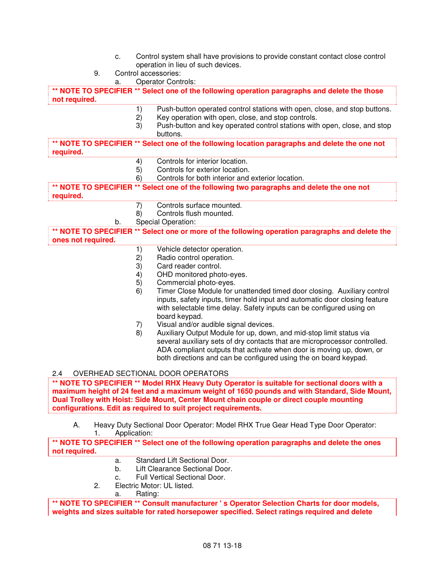- c. Control system shall have provisions to provide constant contact close control operation in lieu of such devices.
- 9. Control accessories:
	- a. Operator Controls:

**\*\* NOTE TO SPECIFIER \*\* Select one of the following operation paragraphs and delete the those not required.** 

- 1) Push-button operated control stations with open, close, and stop buttons.
- 2) Key operation with open, close, and stop controls.
- 3) Push-button and key operated control stations with open, close, and stop buttons.

**\*\* NOTE TO SPECIFIER \*\* Select one of the following location paragraphs and delete the one not required.** 

- 4) Controls for interior location.
- 5) Controls for exterior location.
- 6) Controls for both interior and exterior location.

**\*\* NOTE TO SPECIFIER \*\* Select one of the following two paragraphs and delete the one not required.** 

- 7) Controls surface mounted.
- 8) Controls flush mounted.
- b. Special Operation:

**\*\* NOTE TO SPECIFIER \*\* Select one or more of the following operation paragraphs and delete the ones not required.** 

- 1) Vehicle detector operation.<br>2) Radio control operation.
- Radio control operation.
- 3) Card reader control.
- 4) OHD monitored photo-eyes.
- 5) Commercial photo-eyes.
- 6) Timer Close Module for unattended timed door closing. Auxiliary control inputs, safety inputs, timer hold input and automatic door closing feature with selectable time delay. Safety inputs can be configured using on board keypad.
- 7) Visual and/or audible signal devices.
- 8) Auxiliary Output Module for up, down, and mid-stop limit status via several auxiliary sets of dry contacts that are microprocessor controlled. ADA compliant outputs that activate when door is moving up, down, or both directions and can be configured using the on board keypad.

2.4 OVERHEAD SECTIONAL DOOR OPERATORS

**\*\* NOTE TO SPECIFIER \*\* Model RHX Heavy Duty Operator is suitable for sectional doors with a maximum height of 24 feet and a maximum weight of 1650 pounds and with Standard, Side Mount, Dual Trolley with Hoist: Side Mount, Center Mount chain couple or direct couple mounting configurations. Edit as required to suit project requirements.** 

A. Heavy Duty Sectional Door Operator: Model RHX True Gear Head Type Door Operator: 1. Application:

#### **\*\* NOTE TO SPECIFIER \*\* Select one of the following operation paragraphs and delete the ones not required.**

- a. Standard Lift Sectional Door.
- b. Lift Clearance Sectional Door.
- c. Full Vertical Sectional Door.
- 2. Electric Motor: UL listed.
	- a. Rating:

**\*\* NOTE TO SPECIFIER \*\* Consult manufacturer ' s Operator Selection Charts for door models, weights and sizes suitable for rated horsepower specified. Select ratings required and delete**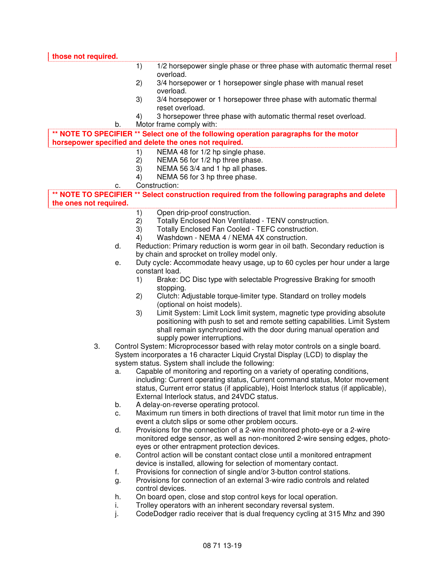| those not required.    |          |                                                                                                                             |  |
|------------------------|----------|-----------------------------------------------------------------------------------------------------------------------------|--|
|                        |          | 1/2 horsepower single phase or three phase with automatic thermal reset<br>1)                                               |  |
|                        |          | overload.                                                                                                                   |  |
|                        |          | 3/4 horsepower or 1 horsepower single phase with manual reset<br>2)<br>overload.                                            |  |
|                        |          | 3)<br>3/4 horsepower or 1 horsepower three phase with automatic thermal<br>reset overload.                                  |  |
|                        |          | 3 horsepower three phase with automatic thermal reset overload.<br>4)                                                       |  |
|                        | b.       | Motor frame comply with:                                                                                                    |  |
|                        |          | ** NOTE TO SPECIFIER ** Select one of the following operation paragraphs for the motor                                      |  |
|                        |          | horsepower specified and delete the ones not required.                                                                      |  |
|                        |          | NEMA 48 for 1/2 hp single phase.<br>1)                                                                                      |  |
|                        |          | NEMA 56 for 1/2 hp three phase.<br>2)                                                                                       |  |
|                        |          | 3)<br>NEMA 56 3/4 and 1 hp all phases.                                                                                      |  |
|                        |          | NEMA 56 for 3 hp three phase.<br>4)                                                                                         |  |
|                        | c.       | Construction:                                                                                                               |  |
|                        |          | ** NOTE TO SPECIFIER ** Select construction required from the following paragraphs and delete                               |  |
| the ones not required. |          |                                                                                                                             |  |
|                        |          | Open drip-proof construction.<br>1)                                                                                         |  |
|                        |          | Totally Enclosed Non Ventilated - TENV construction.<br>2)                                                                  |  |
|                        |          | 3)<br>Totally Enclosed Fan Cooled - TEFC construction.                                                                      |  |
|                        |          | Washdown - NEMA 4 / NEMA 4X construction.<br>4)                                                                             |  |
|                        | d.       | Reduction: Primary reduction is worm gear in oil bath. Secondary reduction is                                               |  |
|                        |          | by chain and sprocket on trolley model only.<br>Duty cycle: Accommodate heavy usage, up to 60 cycles per hour under a large |  |
|                        | е.       | constant load.                                                                                                              |  |
|                        |          | Brake: DC Disc type with selectable Progressive Braking for smooth<br>1)                                                    |  |
|                        |          | stopping.                                                                                                                   |  |
|                        |          | Clutch: Adjustable torque-limiter type. Standard on trolley models<br>2)                                                    |  |
|                        |          | (optional on hoist models).                                                                                                 |  |
|                        |          | Limit System: Limit Lock limit system, magnetic type providing absolute<br>3)                                               |  |
|                        |          | positioning with push to set and remote setting capabilities. Limit System                                                  |  |
|                        |          | shall remain synchronized with the door during manual operation and                                                         |  |
|                        |          | supply power interruptions.                                                                                                 |  |
| 3.                     |          | Control System: Microprocessor based with relay motor controls on a single board.                                           |  |
|                        |          | System incorporates a 16 character Liquid Crystal Display (LCD) to display the                                              |  |
|                        |          | system status. System shall include the following:                                                                          |  |
|                        | а.       | Capable of monitoring and reporting on a variety of operating conditions,                                                   |  |
|                        |          | including: Current operating status, Current command status, Motor movement                                                 |  |
|                        |          | status, Current error status (if applicable), Hoist Interlock status (if applicable),                                       |  |
|                        |          | External Interlock status, and 24VDC status.                                                                                |  |
|                        | b.<br>c. | A delay-on-reverse operating protocol.<br>Maximum run timers in both directions of travel that limit motor run time in the  |  |
|                        |          | event a clutch slips or some other problem occurs.                                                                          |  |
|                        | d.       | Provisions for the connection of a 2-wire monitored photo-eye or a 2-wire                                                   |  |
|                        |          | monitored edge sensor, as well as non-monitored 2-wire sensing edges, photo-                                                |  |
|                        |          | eyes or other entrapment protection devices.                                                                                |  |
|                        | е.       | Control action will be constant contact close until a monitored entrapment                                                  |  |
|                        |          | device is installed, allowing for selection of momentary contact.                                                           |  |
|                        | f.       | Provisions for connection of single and/or 3-button control stations.                                                       |  |
|                        | g.       | Provisions for connection of an external 3-wire radio controls and related                                                  |  |
|                        |          | control devices.                                                                                                            |  |
|                        | h.       | On board open, close and stop control keys for local operation.                                                             |  |
|                        | i.       | Trolley operators with an inherent secondary reversal system.                                                               |  |
|                        |          |                                                                                                                             |  |

j. CodeDodger radio receiver that is dual frequency cycling at 315 Mhz and 390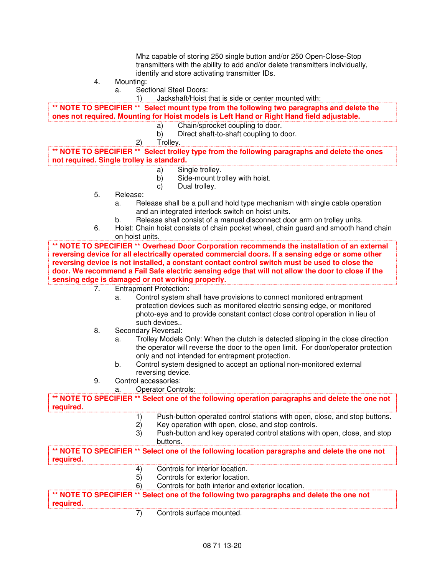Mhz capable of storing 250 single button and/or 250 Open-Close-Stop transmitters with the ability to add and/or delete transmitters individually, identify and store activating transmitter IDs.

- 4. Mounting:
	- a. Sectional Steel Doors:
		- 1) Jackshaft/Hoist that is side or center mounted with:

**\*\* NOTE TO SPECIFIER \*\* Select mount type from the following two paragraphs and delete the ones not required. Mounting for Hoist models is Left Hand or Right Hand field adjustable.** 

- a) Chain/sprocket coupling to door.<br>b) Direct shaft-to-shaft coupling to d
- b) Direct shaft-to-shaft coupling to door.
- 2) Trolley.

**\*\* NOTE TO SPECIFIER \*\* Select trolley type from the following paragraphs and delete the ones not required. Single trolley is standard.** 

- a) Single trolley.
- b) Side-mount trolley with hoist.
- c) Dual trolley.
- 5. Release:
	- a. Release shall be a pull and hold type mechanism with single cable operation and an integrated interlock switch on hoist units.
	- b. Release shall consist of a manual disconnect door arm on trolley units.
- 6. Hoist: Chain hoist consists of chain pocket wheel, chain guard and smooth hand chain on hoist units.

**\*\* NOTE TO SPECIFIER \*\* Overhead Door Corporation recommends the installation of an external reversing device for all electrically operated commercial doors. If a sensing edge or some other reversing device is not installed, a constant contact control switch must be used to close the door. We recommend a Fail Safe electric sensing edge that will not allow the door to close if the sensing edge is damaged or not working properly.** 

- 7. Entrapment Protection:
	- a. Control system shall have provisions to connect monitored entrapment protection devices such as monitored electric sensing edge, or monitored photo-eye and to provide constant contact close control operation in lieu of such devices..
- 8. Secondary Reversal:
	- a. Trolley Models Only: When the clutch is detected slipping in the close direction the operator will reverse the door to the open limit. For door/operator protection only and not intended for entrapment protection.
	- b. Control system designed to accept an optional non-monitored external reversing device.
- 9. Control accessories:
	- a. Operator Controls:

**\*\* NOTE TO SPECIFIER \*\* Select one of the following operation paragraphs and delete the one not required.** 

- 1) Push-button operated control stations with open, close, and stop buttons.
- 2) Key operation with open, close, and stop controls.
- 3) Push-button and key operated control stations with open, close, and stop buttons.

**\*\* NOTE TO SPECIFIER \*\* Select one of the following location paragraphs and delete the one not required.** 

- 4) Controls for interior location.
- 5) Controls for exterior location.
- 6) Controls for both interior and exterior location.

**\*\* NOTE TO SPECIFIER \*\* Select one of the following two paragraphs and delete the one not required.** 

7) Controls surface mounted.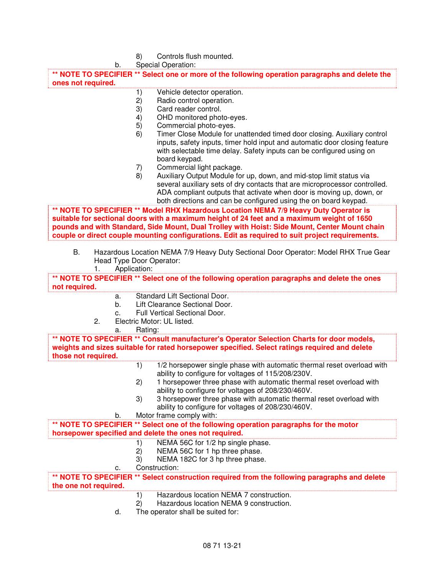| 8) | Controls flush mounted. |
|----|-------------------------|
|----|-------------------------|

|                       |    | b. | Special Operation:                                                                                                                                                                                                                                                                                                                                                   |
|-----------------------|----|----|----------------------------------------------------------------------------------------------------------------------------------------------------------------------------------------------------------------------------------------------------------------------------------------------------------------------------------------------------------------------|
|                       |    |    | ** NOTE TO SPECIFIER ** Select one or more of the following operation paragraphs and delete the                                                                                                                                                                                                                                                                      |
| ones not required.    |    |    |                                                                                                                                                                                                                                                                                                                                                                      |
|                       |    |    | Vehicle detector operation.<br>1)                                                                                                                                                                                                                                                                                                                                    |
|                       |    |    | 2)<br>Radio control operation.                                                                                                                                                                                                                                                                                                                                       |
|                       |    |    | 3)<br>Card reader control.                                                                                                                                                                                                                                                                                                                                           |
|                       |    |    | 4)<br>OHD monitored photo-eyes.                                                                                                                                                                                                                                                                                                                                      |
|                       |    |    | 5)<br>Commercial photo-eyes.                                                                                                                                                                                                                                                                                                                                         |
|                       |    |    | 6)<br>Timer Close Module for unattended timed door closing. Auxiliary control<br>inputs, safety inputs, timer hold input and automatic door closing feature<br>with selectable time delay. Safety inputs can be configured using on<br>board keypad.<br>Commercial light package.<br>7)<br>8)<br>Auxiliary Output Module for up, down, and mid-stop limit status via |
|                       |    |    | several auxiliary sets of dry contacts that are microprocessor controlled.<br>ADA compliant outputs that activate when door is moving up, down, or                                                                                                                                                                                                                   |
|                       |    |    | both directions and can be configured using the on board keypad.<br>** NOTE TO SPECIFIER ** Model RHX Hazardous Location NEMA 7/9 Heavy Duty Operator is                                                                                                                                                                                                             |
|                       |    |    | suitable for sectional doors with a maximum height of 24 feet and a maximum weight of 1650<br>pounds and with Standard, Side Mount, Dual Trolley with Hoist: Side Mount, Center Mount chain<br>couple or direct couple mounting configurations. Edit as required to suit project requirements.                                                                       |
|                       |    |    |                                                                                                                                                                                                                                                                                                                                                                      |
| Β.                    | 1. |    | Hazardous Location NEMA 7/9 Heavy Duty Sectional Door Operator: Model RHX True Gear<br>Head Type Door Operator:<br>Application:                                                                                                                                                                                                                                      |
|                       |    |    | ** NOTE TO SPECIFIER ** Select one of the following operation paragraphs and delete the ones                                                                                                                                                                                                                                                                         |
| not required.         |    |    |                                                                                                                                                                                                                                                                                                                                                                      |
|                       |    | a. | Standard Lift Sectional Door.                                                                                                                                                                                                                                                                                                                                        |
|                       |    | b. | Lift Clearance Sectional Door.                                                                                                                                                                                                                                                                                                                                       |
|                       |    | c. | Full Vertical Sectional Door.                                                                                                                                                                                                                                                                                                                                        |
|                       | 2. |    | Electric Motor: UL listed.                                                                                                                                                                                                                                                                                                                                           |
|                       |    | a. | Rating:                                                                                                                                                                                                                                                                                                                                                              |
|                       |    |    | ** NOTE TO SPECIFIER ** Consult manufacturer's Operator Selection Charts for door models,<br>weights and sizes suitable for rated horsepower specified. Select ratings required and delete                                                                                                                                                                           |
| those not required.   |    |    |                                                                                                                                                                                                                                                                                                                                                                      |
|                       |    |    | 1)<br>1/2 horsepower single phase with automatic thermal reset overload with<br>ability to configure for voltages of 115/208/230V.                                                                                                                                                                                                                                   |
|                       |    |    | 1 horsepower three phase with automatic thermal reset overload with<br>2)                                                                                                                                                                                                                                                                                            |
|                       |    |    | ability to configure for voltages of 208/230/460V.                                                                                                                                                                                                                                                                                                                   |
|                       |    |    | 3 horsepower three phase with automatic thermal reset overload with<br>3)                                                                                                                                                                                                                                                                                            |
|                       |    | b. | ability to configure for voltages of 208/230/460V.<br>Motor frame comply with:                                                                                                                                                                                                                                                                                       |
|                       |    |    | ** NOTE TO SPECIFIER ** Select one of the following operation paragraphs for the motor                                                                                                                                                                                                                                                                               |
|                       |    |    | horsepower specified and delete the ones not required.                                                                                                                                                                                                                                                                                                               |
|                       |    |    | NEMA 56C for 1/2 hp single phase.<br>1)                                                                                                                                                                                                                                                                                                                              |
|                       |    |    | NEMA 56C for 1 hp three phase.<br>2)                                                                                                                                                                                                                                                                                                                                 |
|                       |    |    | NEMA 182C for 3 hp three phase.<br>3)                                                                                                                                                                                                                                                                                                                                |
|                       |    | c. | Construction:                                                                                                                                                                                                                                                                                                                                                        |
| the one not required. |    |    | ** NOTE TO SPECIFIER ** Select construction required from the following paragraphs and delete                                                                                                                                                                                                                                                                        |
|                       |    |    | Hazardous location NEMA 7 construction.<br>1)                                                                                                                                                                                                                                                                                                                        |
|                       |    |    | Hazardous location NEMA 9 construction.<br>2)                                                                                                                                                                                                                                                                                                                        |
|                       |    | d. | The operator shall be suited for:                                                                                                                                                                                                                                                                                                                                    |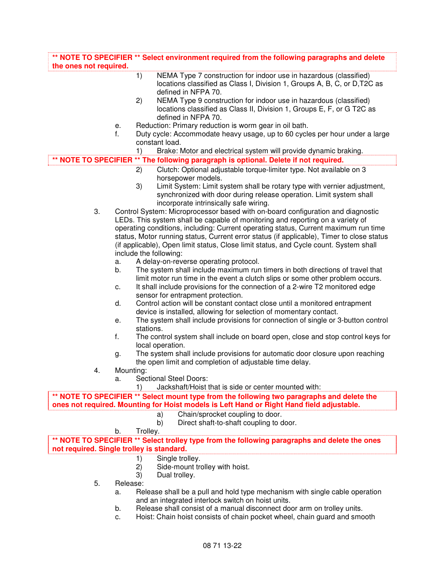| the ones not required.                    |           | ** NOTE TO SPECIFIER ** Select environment required from the following paragraphs and delete                                                                                |
|-------------------------------------------|-----------|-----------------------------------------------------------------------------------------------------------------------------------------------------------------------------|
|                                           |           | NEMA Type 7 construction for indoor use in hazardous (classified)<br>1)<br>locations classified as Class I, Division 1, Groups A, B, C, or D, T2C as<br>defined in NFPA 70. |
|                                           |           | NEMA Type 9 construction for indoor use in hazardous (classified)<br>2)<br>locations classified as Class II, Division 1, Groups E, F, or G T2C as<br>defined in NFPA 70.    |
|                                           | е.        | Reduction: Primary reduction is worm gear in oil bath.                                                                                                                      |
|                                           | f.        | Duty cycle: Accommodate heavy usage, up to 60 cycles per hour under a large                                                                                                 |
|                                           |           | constant load.                                                                                                                                                              |
|                                           |           | Brake: Motor and electrical system will provide dynamic braking.<br>1)                                                                                                      |
|                                           |           |                                                                                                                                                                             |
|                                           |           | ** NOTE TO SPECIFIER ** The following paragraph is optional. Delete if not required.                                                                                        |
|                                           |           | Clutch: Optional adjustable torque-limiter type. Not available on 3<br>2)                                                                                                   |
|                                           |           | horsepower models.                                                                                                                                                          |
|                                           |           | 3)<br>Limit System: Limit system shall be rotary type with vernier adjustment,                                                                                              |
|                                           |           | synchronized with door during release operation. Limit system shall                                                                                                         |
|                                           |           | incorporate intrinsically safe wiring.                                                                                                                                      |
| 3.                                        |           | Control System: Microprocessor based with on-board configuration and diagnostic                                                                                             |
|                                           |           | LEDs. This system shall be capable of monitoring and reporting on a variety of                                                                                              |
|                                           |           |                                                                                                                                                                             |
|                                           |           | operating conditions, including: Current operating status, Current maximum run time                                                                                         |
|                                           |           | status, Motor running status, Current error status (if applicable), Timer to close status                                                                                   |
|                                           |           | (if applicable), Open limit status, Close limit status, and Cycle count. System shall                                                                                       |
|                                           |           | include the following:                                                                                                                                                      |
|                                           | а.        | A delay-on-reverse operating protocol.                                                                                                                                      |
|                                           | b.        | The system shall include maximum run timers in both directions of travel that<br>limit motor run time in the event a clutch slips or some other problem occurs.             |
|                                           | С.        | It shall include provisions for the connection of a 2-wire T2 monitored edge<br>sensor for entrapment protection.                                                           |
|                                           | d.        | Control action will be constant contact close until a monitored entrapment                                                                                                  |
|                                           |           | device is installed, allowing for selection of momentary contact.                                                                                                           |
|                                           |           | The system shall include provisions for connection of single or 3-button control                                                                                            |
|                                           | е.        |                                                                                                                                                                             |
|                                           |           | stations.                                                                                                                                                                   |
|                                           | f.        | The control system shall include on board open, close and stop control keys for<br>local operation.                                                                         |
|                                           | g.        | The system shall include provisions for automatic door closure upon reaching                                                                                                |
|                                           |           | the open limit and completion of adjustable time delay.                                                                                                                     |
| 4.                                        | Mounting: |                                                                                                                                                                             |
|                                           | a.        | <b>Sectional Steel Doors:</b>                                                                                                                                               |
|                                           |           | Jackshaft/Hoist that is side or center mounted with:<br>1)                                                                                                                  |
|                                           |           | ** NOTE TO SPECIFIER ** Select mount type from the following two paragraphs and delete the                                                                                  |
|                                           |           | ones not required. Mounting for Hoist models is Left Hand or Right Hand field adjustable.                                                                                   |
|                                           |           | Chain/sprocket coupling to door.<br>a)                                                                                                                                      |
|                                           |           | Direct shaft-to-shaft coupling to door.<br>b)                                                                                                                               |
|                                           | b.        | Trolley.                                                                                                                                                                    |
|                                           |           | ** NOTE TO SPECIFIER ** Select trolley type from the following paragraphs and delete the ones                                                                               |
| not required. Single trolley is standard. |           |                                                                                                                                                                             |
|                                           |           | Single trolley.<br>1)                                                                                                                                                       |
|                                           |           | Side-mount trolley with hoist.<br>2)                                                                                                                                        |
|                                           |           | 3)<br>Dual trolley.                                                                                                                                                         |
| 5.                                        | Release:  |                                                                                                                                                                             |
|                                           | a.        | Release shall be a pull and hold type mechanism with single cable operation                                                                                                 |
|                                           |           |                                                                                                                                                                             |
|                                           |           | and an integrated interlock switch on hoist units.                                                                                                                          |
|                                           | b.        | Release shall consist of a manual disconnect door arm on trolley units.                                                                                                     |
|                                           | c.        | Hoist: Chain hoist consists of chain pocket wheel, chain guard and smooth                                                                                                   |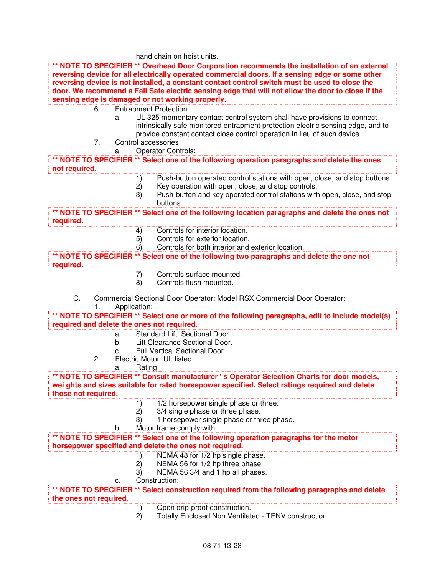hand chain on hoist units.

|                                            |                                  | ** NOTE TO SPECIFIER ** Overhead Door Corporation recommends the installation of an external<br>reversing device for all electrically operated commercial doors. If a sensing edge or some other<br>reversing device is not installed, a constant contact control switch must be used to close the<br>door. We recommend a Fail Safe electric sensing edge that will not allow the door to close if the<br>sensing edge is damaged or not working properly. |
|--------------------------------------------|----------------------------------|-------------------------------------------------------------------------------------------------------------------------------------------------------------------------------------------------------------------------------------------------------------------------------------------------------------------------------------------------------------------------------------------------------------------------------------------------------------|
| 6.                                         |                                  | <b>Entrapment Protection:</b>                                                                                                                                                                                                                                                                                                                                                                                                                               |
| 7.                                         | a.<br>Control accessories:<br>a. | UL 325 momentary contact control system shall have provisions to connect<br>intrinsically safe monitored entrapment protection electric sensing edge, and to<br>provide constant contact close control operation in lieu of such device.<br><b>Operator Controls:</b>                                                                                                                                                                                       |
|                                            |                                  |                                                                                                                                                                                                                                                                                                                                                                                                                                                             |
|                                            |                                  | ** NOTE TO SPECIFIER ** Select one of the following operation paragraphs and delete the ones                                                                                                                                                                                                                                                                                                                                                                |
| not required.                              |                                  |                                                                                                                                                                                                                                                                                                                                                                                                                                                             |
|                                            | 1)                               | Push-button operated control stations with open, close, and stop buttons.                                                                                                                                                                                                                                                                                                                                                                                   |
|                                            | 2)<br>3)                         | Key operation with open, close, and stop controls.<br>Push-button and key operated control stations with open, close, and stop<br>buttons.                                                                                                                                                                                                                                                                                                                  |
|                                            |                                  |                                                                                                                                                                                                                                                                                                                                                                                                                                                             |
| required.                                  |                                  | ** NOTE TO SPECIFIER ** Select one of the following location paragraphs and delete the ones not                                                                                                                                                                                                                                                                                                                                                             |
|                                            | 4)                               | Controls for interior location.                                                                                                                                                                                                                                                                                                                                                                                                                             |
|                                            | 5)                               | Controls for exterior location.                                                                                                                                                                                                                                                                                                                                                                                                                             |
|                                            | 6)                               | Controls for both interior and exterior location.                                                                                                                                                                                                                                                                                                                                                                                                           |
| required.                                  |                                  | ** NOTE TO SPECIFIER ** Select one of the following two paragraphs and delete the one not                                                                                                                                                                                                                                                                                                                                                                   |
|                                            | 7)                               | Controls surface mounted.                                                                                                                                                                                                                                                                                                                                                                                                                                   |
|                                            | 8)                               | Controls flush mounted.                                                                                                                                                                                                                                                                                                                                                                                                                                     |
| C.<br>1.                                   | Application:                     | Commercial Sectional Door Operator: Model RSX Commercial Door Operator:                                                                                                                                                                                                                                                                                                                                                                                     |
|                                            |                                  | ** NOTE TO SPECIFIER ** Select one or more of the following paragraphs, edit to include model(s)                                                                                                                                                                                                                                                                                                                                                            |
| required and delete the ones not required. |                                  |                                                                                                                                                                                                                                                                                                                                                                                                                                                             |
|                                            | a.                               | Standard Lift Sectional Door.                                                                                                                                                                                                                                                                                                                                                                                                                               |
|                                            | b <sub>1</sub>                   | Lift Clearance Sectional Door.                                                                                                                                                                                                                                                                                                                                                                                                                              |
|                                            | $C_{-}$                          | Full Vertical Sectional Door.                                                                                                                                                                                                                                                                                                                                                                                                                               |
| 2.                                         | Rating:<br>a.                    | Electric Motor: UL listed.                                                                                                                                                                                                                                                                                                                                                                                                                                  |
| those not required.                        |                                  | ** NOTE TO SPECIFIER ** Consult manufacturer 's Operator Selection Charts for door models,<br>wei ghts and sizes suitable for rated horsepower specified. Select ratings required and delete                                                                                                                                                                                                                                                                |
|                                            | 1)                               | 1/2 horsepower single phase or three.                                                                                                                                                                                                                                                                                                                                                                                                                       |
|                                            | 2)                               | 3/4 single phase or three phase.                                                                                                                                                                                                                                                                                                                                                                                                                            |
|                                            | 3)<br>b.                         | 1 horsepower single phase or three phase.<br>Motor frame comply with:                                                                                                                                                                                                                                                                                                                                                                                       |
|                                            |                                  | ** NOTE TO SPECIFIER ** Select one of the following operation paragraphs for the motor                                                                                                                                                                                                                                                                                                                                                                      |
|                                            |                                  | horsepower specified and delete the ones not required.                                                                                                                                                                                                                                                                                                                                                                                                      |
|                                            | 1)                               | NEMA 48 for 1/2 hp single phase.                                                                                                                                                                                                                                                                                                                                                                                                                            |
|                                            | 2)                               | NEMA 56 for 1/2 hp three phase.                                                                                                                                                                                                                                                                                                                                                                                                                             |
|                                            | 3)                               | NEMA 56 3/4 and 1 hp all phases.                                                                                                                                                                                                                                                                                                                                                                                                                            |
|                                            | c.                               | Construction:                                                                                                                                                                                                                                                                                                                                                                                                                                               |
| the ones not required.                     |                                  | ** NOTE TO SPECIFIER ** Select construction required from the following paragraphs and delete                                                                                                                                                                                                                                                                                                                                                               |
|                                            | 1)                               | Open drip-proof construction.                                                                                                                                                                                                                                                                                                                                                                                                                               |
|                                            | 2)                               | Totally Enclosed Non Ventilated - TENV construction.                                                                                                                                                                                                                                                                                                                                                                                                        |
|                                            |                                  |                                                                                                                                                                                                                                                                                                                                                                                                                                                             |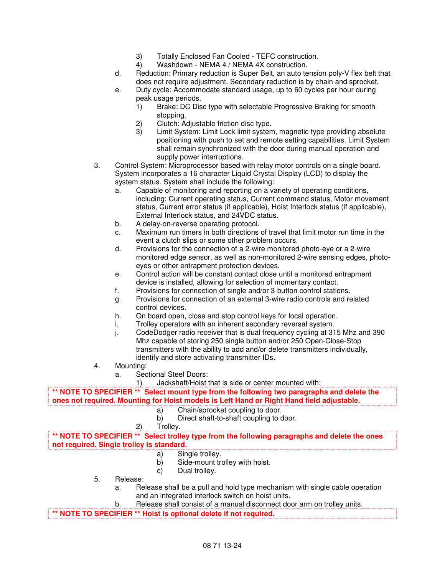- 3) Totally Enclosed Fan Cooled TEFC construction.
- 4) Washdown NEMA 4 / NEMA 4X construction.
- d. Reduction: Primary reduction is Super Belt, an auto tension poly-V flex belt that does not require adjustment. Secondary reduction is by chain and sprocket.
- e. Duty cycle: Accommodate standard usage, up to 60 cycles per hour during peak usage periods.
	- 1) Brake: DC Disc type with selectable Progressive Braking for smooth stopping.
	- 2) Clutch: Adjustable friction disc type.<br>3) Limit System: Limit Lock limit system
	- Limit System: Limit Lock limit system, magnetic type providing absolute positioning with push to set and remote setting capabilities. Limit System shall remain synchronized with the door during manual operation and supply power interruptions.
- 3. Control System: Microprocessor based with relay motor controls on a single board. System incorporates a 16 character Liquid Crystal Display (LCD) to display the system status. System shall include the following:
	- a. Capable of monitoring and reporting on a variety of operating conditions, including: Current operating status, Current command status, Motor movement status, Current error status (if applicable), Hoist Interlock status (if applicable), External Interlock status, and 24VDC status.
	- b. A delay-on-reverse operating protocol.
	- c. Maximum run timers in both directions of travel that limit motor run time in the event a clutch slips or some other problem occurs.
	- d. Provisions for the connection of a 2-wire monitored photo-eye or a 2-wire monitored edge sensor, as well as non-monitored 2-wire sensing edges, photoeyes or other entrapment protection devices.
	- e. Control action will be constant contact close until a monitored entrapment device is installed, allowing for selection of momentary contact.
	- f. Provisions for connection of single and/or 3-button control stations.
	- g. Provisions for connection of an external 3-wire radio controls and related control devices.
	- h. On board open, close and stop control keys for local operation.
	- i. Trolley operators with an inherent secondary reversal system.
	- j. CodeDodger radio receiver that is dual frequency cycling at 315 Mhz and 390 Mhz capable of storing 250 single button and/or 250 Open-Close-Stop transmitters with the ability to add and/or delete transmitters individually, identify and store activating transmitter IDs.
- 4. Mounting:
	- a. Sectional Steel Doors:
		- 1) Jackshaft/Hoist that is side or center mounted with:

**\*\* NOTE TO SPECIFIER \*\* Select mount type from the following two paragraphs and delete the ones not required. Mounting for Hoist models is Left Hand or Right Hand field adjustable.** 

- a) Chain/sprocket coupling to door.
- b) Direct shaft-to-shaft coupling to door.
- 2) Trolley.

**\*\* NOTE TO SPECIFIER \*\* Select trolley type from the following paragraphs and delete the ones not required. Single trolley is standard.** 

- a) Single trolley.
- b) Side-mount trolley with hoist.
- c) Dual trolley.
- 5. Release:
	- a. Release shall be a pull and hold type mechanism with single cable operation and an integrated interlock switch on hoist units.
- b. Release shall consist of a manual disconnect door arm on trolley units.

**\*\* NOTE TO SPECIFIER \*\* Hoist is optional delete if not required.**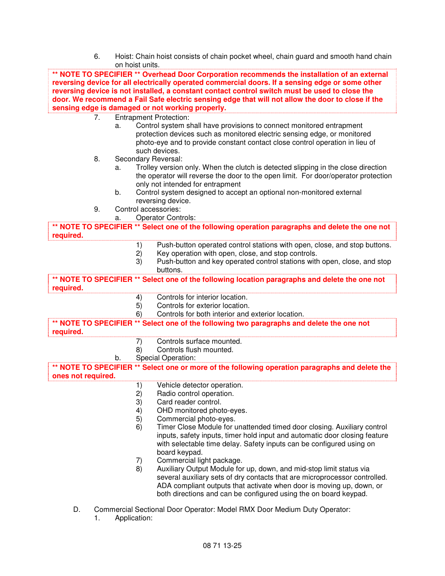6. Hoist: Chain hoist consists of chain pocket wheel, chain guard and smooth hand chain on hoist units.

**\*\* NOTE TO SPECIFIER \*\* Overhead Door Corporation recommends the installation of an external reversing device for all electrically operated commercial doors. If a sensing edge or some other reversing device is not installed, a constant contact control switch must be used to close the door. We recommend a Fail Safe electric sensing edge that will not allow the door to close if the sensing edge is damaged or not working properly.**  7. Entrapment Protection: a. Control system shall have provisions to connect monitored entrapment protection devices such as monitored electric sensing edge, or monitored photo-eye and to provide constant contact close control operation in lieu of

- such devices. 8. Secondary Reversal:
	- a. Trolley version only. When the clutch is detected slipping in the close direction the operator will reverse the door to the open limit. For door/operator protection only not intended for entrapment
	- b. Control system designed to accept an optional non-monitored external reversing device.
- 9. Control accessories:
	- a. Operator Controls:

**\*\* NOTE TO SPECIFIER \*\* Select one of the following operation paragraphs and delete the one not required.** 

- 1) Push-button operated control stations with open, close, and stop buttons.<br>2) Key operation with open, close, and stop controls.
- Key operation with open, close, and stop controls.
- 3) Push-button and key operated control stations with open, close, and stop buttons.

**\*\* NOTE TO SPECIFIER \*\* Select one of the following location paragraphs and delete the one not required.** 

- 4) Controls for interior location.
- 5) Controls for exterior location.
- 6) Controls for both interior and exterior location.

**\*\* NOTE TO SPECIFIER \*\* Select one of the following two paragraphs and delete the one not required.** 

- 7) Controls surface mounted.
- 8) Controls flush mounted.
- b. Special Operation:

**\*\* NOTE TO SPECIFIER \*\* Select one or more of the following operation paragraphs and delete the ones not required.** 

- 1) Vehicle detector operation.
- 2) Radio control operation.
- 3) Card reader control.
- 4) OHD monitored photo-eyes.
- 5) Commercial photo-eyes.
- 6) Timer Close Module for unattended timed door closing. Auxiliary control inputs, safety inputs, timer hold input and automatic door closing feature with selectable time delay. Safety inputs can be configured using on board keypad.
- 7) Commercial light package.
- 8) Auxiliary Output Module for up, down, and mid-stop limit status via several auxiliary sets of dry contacts that are microprocessor controlled. ADA compliant outputs that activate when door is moving up, down, or both directions and can be configured using the on board keypad.
- D. Commercial Sectional Door Operator: Model RMX Door Medium Duty Operator:
	- 1. Application: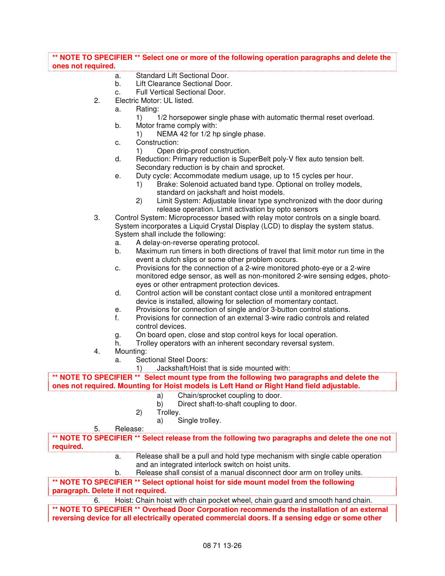# **\*\* NOTE TO SPECIFIER \*\* Select one or more of the following operation paragraphs and delete the ones not required.**

- a. Standard Lift Sectional Door.<br>b. Lift Clearance Sectional Door.
- Lift Clearance Sectional Door.
- c. Full Vertical Sectional Door.
- 2. Electric Motor: UL listed.
	- a. Rating:
		- 1) 1/2 horsepower single phase with automatic thermal reset overload.
	- b. Motor frame comply with:
		- 1) NEMA 42 for 1/2 hp single phase.
	- c. Construction:
		- 1) Open drip-proof construction.
	- d. Reduction: Primary reduction is SuperBelt poly-V flex auto tension belt. Secondary reduction is by chain and sprocket.
	- e. Duty cycle: Accommodate medium usage, up to 15 cycles per hour.
		- 1) Brake: Solenoid actuated band type. Optional on trolley models, standard on jackshaft and hoist models.
		- 2) Limit System: Adjustable linear type synchronized with the door during release operation. Limit activation by opto sensors
- 3. Control System: Microprocessor based with relay motor controls on a single board. System incorporates a Liquid Crystal Display (LCD) to display the system status. System shall include the following:
	- a. A delay-on-reverse operating protocol.
	- b. Maximum run timers in both directions of travel that limit motor run time in the event a clutch slips or some other problem occurs.
	- c. Provisions for the connection of a 2-wire monitored photo-eye or a 2-wire monitored edge sensor, as well as non-monitored 2-wire sensing edges, photoeyes or other entrapment protection devices.
	- d. Control action will be constant contact close until a monitored entrapment device is installed, allowing for selection of momentary contact.
	- e. Provisions for connection of single and/or 3-button control stations.
	- f. Provisions for connection of an external 3-wire radio controls and related control devices.
	- g. On board open, close and stop control keys for local operation.
	- h. Trolley operators with an inherent secondary reversal system.
- 4. Mounting:
	- a. Sectional Steel Doors:
		- 1) Jackshaft/Hoist that is side mounted with:

**\*\* NOTE TO SPECIFIER \*\* Select mount type from the following two paragraphs and delete the ones not required. Mounting for Hoist models is Left Hand or Right Hand field adjustable.** 

- a) Chain/sprocket coupling to door.
- b) Direct shaft-to-shaft coupling to door.
- 2) Trolley.
	- a) Single trolley.
- 5. Release:

**\*\* NOTE TO SPECIFIER \*\* Select release from the following two paragraphs and delete the one not required.** 

- a. Release shall be a pull and hold type mechanism with single cable operation and an integrated interlock switch on hoist units.
- b. Release shall consist of a manual disconnect door arm on trolley units.

**\*\* NOTE TO SPECIFIER \*\* Select optional hoist for side mount model from the following paragraph. Delete if not required.** 

6. Hoist: Chain hoist with chain pocket wheel, chain guard and smooth hand chain.

**\*\* NOTE TO SPECIFIER \*\* Overhead Door Corporation recommends the installation of an external reversing device for all electrically operated commercial doors. If a sensing edge or some other**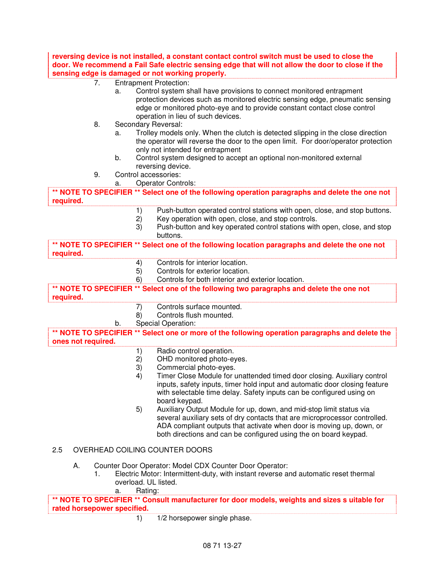**reversing device is not installed, a constant contact control switch must be used to close the door. We recommend a Fail Safe electric sensing edge that will not allow the door to close if the sensing edge is damaged or not working properly.** 

- 7. Entrapment Protection:
	- a. Control system shall have provisions to connect monitored entrapment protection devices such as monitored electric sensing edge, pneumatic sensing edge or monitored photo-eye and to provide constant contact close control operation in lieu of such devices.
- 8. Secondary Reversal:
	- a. Trolley models only. When the clutch is detected slipping in the close direction the operator will reverse the door to the open limit. For door/operator protection only not intended for entrapment
	- b. Control system designed to accept an optional non-monitored external reversing device.
- 9. Control accessories:
	- a. Operator Controls:

**\*\* NOTE TO SPECIFIER \*\* Select one of the following operation paragraphs and delete the one not required.** 

- 1) Push-button operated control stations with open, close, and stop buttons.
- 2) Key operation with open, close, and stop controls.
- 3) Push-button and key operated control stations with open, close, and stop buttons.

**\*\* NOTE TO SPECIFIER \*\* Select one of the following location paragraphs and delete the one not required.** 

- 4) Controls for interior location.
- 5) Controls for exterior location.
- 6) Controls for both interior and exterior location.

**\*\* NOTE TO SPECIFIER \*\* Select one of the following two paragraphs and delete the one not required.** 

- 7) Controls surface mounted.
- 8) Controls flush mounted.
- b. Special Operation:

**\*\* NOTE TO SPECIFIER \*\* Select one or more of the following operation paragraphs and delete the ones not required.** 

- 1) Radio control operation.
- 2) OHD monitored photo-eyes.
- 3) Commercial photo-eyes.
- 4) Timer Close Module for unattended timed door closing. Auxiliary control inputs, safety inputs, timer hold input and automatic door closing feature with selectable time delay. Safety inputs can be configured using on board keypad.
- 5) Auxiliary Output Module for up, down, and mid-stop limit status via several auxiliary sets of dry contacts that are microprocessor controlled. ADA compliant outputs that activate when door is moving up, down, or both directions and can be configured using the on board keypad.

# 2.5 OVERHEAD COILING COUNTER DOORS

- A. Counter Door Operator: Model CDX Counter Door Operator:
	- 1. Electric Motor: Intermittent-duty, with instant reverse and automatic reset thermal overload. UL listed.

#### a. Rating:

**\*\* NOTE TO SPECIFIER \*\* Consult manufacturer for door models, weights and sizes s uitable for rated horsepower specified.** 

1) 1/2 horsepower single phase.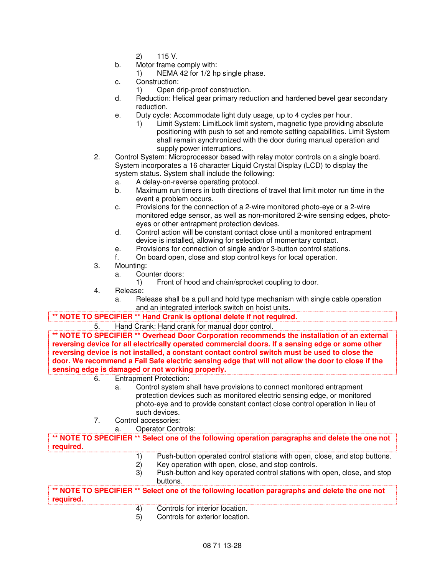- 2) 115 V.
- b. Motor frame comply with:
	- 1) NEMA 42 for 1/2 hp single phase.
- c. Construction:
	- 1) Open drip-proof construction.
- d. Reduction: Helical gear primary reduction and hardened bevel gear secondary reduction.
- e. Duty cycle: Accommodate light duty usage, up to 4 cycles per hour.
	- 1) Limit System: LimitLock limit system, magnetic type providing absolute positioning with push to set and remote setting capabilities. Limit System shall remain synchronized with the door during manual operation and supply power interruptions.
- 2. Control System: Microprocessor based with relay motor controls on a single board. System incorporates a 16 character Liquid Crystal Display (LCD) to display the system status. System shall include the following:
	- a. A delay-on-reverse operating protocol.
	- b. Maximum run timers in both directions of travel that limit motor run time in the event a problem occurs.
	- c. Provisions for the connection of a 2-wire monitored photo-eye or a 2-wire monitored edge sensor, as well as non-monitored 2-wire sensing edges, photoeyes or other entrapment protection devices.
	- d. Control action will be constant contact close until a monitored entrapment device is installed, allowing for selection of momentary contact.
	- e. Provisions for connection of single and/or 3-button control stations.
	- f. On board open, close and stop control keys for local operation.
- 3. Mounting:
	- a. Counter doors:
		- 1) Front of hood and chain/sprocket coupling to door.
- 4. Release:
	- a. Release shall be a pull and hold type mechanism with single cable operation and an integrated interlock switch on hoist units.

#### **\*\* NOTE TO SPECIFIER \*\* Hand Crank is optional delete if not required.**

5. Hand Crank: Hand crank for manual door control.

**\*\* NOTE TO SPECIFIER \*\* Overhead Door Corporation recommends the installation of an external reversing device for all electrically operated commercial doors. If a sensing edge or some other reversing device is not installed, a constant contact control switch must be used to close the door. We recommend a Fail Safe electric sensing edge that will not allow the door to close if the sensing edge is damaged or not working properly.** 

- 6. Entrapment Protection:
	- a. Control system shall have provisions to connect monitored entrapment protection devices such as monitored electric sensing edge, or monitored photo-eye and to provide constant contact close control operation in lieu of such devices.
- 7. Control accessories:
	- a. Operator Controls:

**\*\* NOTE TO SPECIFIER \*\* Select one of the following operation paragraphs and delete the one not required.** 

- 1) Push-button operated control stations with open, close, and stop buttons.<br>2) Key operation with open, close, and stop controls.
- Key operation with open, close, and stop controls.
- 3) Push-button and key operated control stations with open, close, and stop buttons.

**\*\* NOTE TO SPECIFIER \*\* Select one of the following location paragraphs and delete the one not required.** 

- 4) Controls for interior location.
- 5) Controls for exterior location.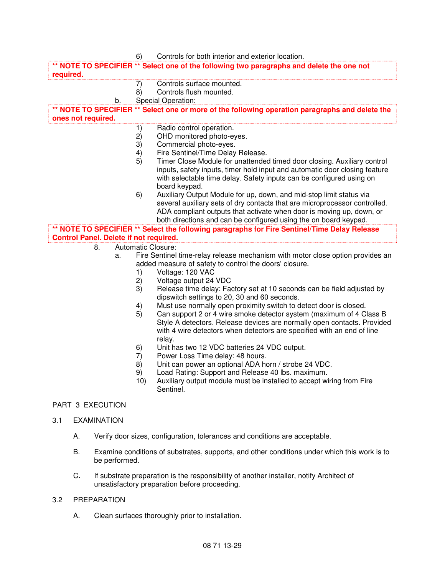|                                               | 6)                                                                                                                                        | Controls for both interior and exterior location.                                                                      |  |
|-----------------------------------------------|-------------------------------------------------------------------------------------------------------------------------------------------|------------------------------------------------------------------------------------------------------------------------|--|
|                                               |                                                                                                                                           | NOTE TO SPECIFIER ** Select one of the following two paragraphs and delete the one not                                 |  |
| required.                                     |                                                                                                                                           |                                                                                                                        |  |
|                                               | 7)                                                                                                                                        | Controls surface mounted.                                                                                              |  |
|                                               | 8)                                                                                                                                        | Controls flush mounted.                                                                                                |  |
| b.                                            |                                                                                                                                           | Special Operation:                                                                                                     |  |
| ones not required.                            |                                                                                                                                           | ** NOTE TO SPECIFIER ** Select one or more of the following operation paragraphs and delete the                        |  |
|                                               | 1)                                                                                                                                        | Radio control operation.                                                                                               |  |
|                                               | 2)                                                                                                                                        | OHD monitored photo-eyes.                                                                                              |  |
|                                               | 3)                                                                                                                                        | Commercial photo-eyes.                                                                                                 |  |
|                                               | $\left( \frac{4}{2} \right)$                                                                                                              | Fire Sentinel/Time Delay Release.                                                                                      |  |
|                                               | 5)                                                                                                                                        | Timer Close Module for unattended timed door closing. Auxiliary control                                                |  |
|                                               |                                                                                                                                           | inputs, safety inputs, timer hold input and automatic door closing feature                                             |  |
|                                               |                                                                                                                                           | with selectable time delay. Safety inputs can be configured using on                                                   |  |
|                                               |                                                                                                                                           | board keypad.                                                                                                          |  |
|                                               | 6)                                                                                                                                        | Auxiliary Output Module for up, down, and mid-stop limit status via                                                    |  |
|                                               |                                                                                                                                           | several auxiliary sets of dry contacts that are microprocessor controlled.                                             |  |
|                                               |                                                                                                                                           | ADA compliant outputs that activate when door is moving up, down, or                                                   |  |
|                                               |                                                                                                                                           | both directions and can be configured using the on board keypad.                                                       |  |
|                                               |                                                                                                                                           | ** NOTE TO SPECIFIER ** Select the following paragraphs for Fire Sentinel/Time Delay Release                           |  |
| <b>Control Panel. Delete if not required.</b> |                                                                                                                                           |                                                                                                                        |  |
| 8.                                            | Automatic Closure:                                                                                                                        |                                                                                                                        |  |
| a.                                            |                                                                                                                                           | Fire Sentinel time-relay release mechanism with motor close option provides an                                         |  |
|                                               |                                                                                                                                           | added measure of safety to control the doors' closure.                                                                 |  |
|                                               | 1)                                                                                                                                        | Voltage: 120 VAC                                                                                                       |  |
|                                               | 2)                                                                                                                                        | Voltage output 24 VDC                                                                                                  |  |
|                                               | 3)                                                                                                                                        | Release time delay: Factory set at 10 seconds can be field adjusted by<br>dipswitch settings to 20, 30 and 60 seconds. |  |
|                                               | 4)                                                                                                                                        | Must use normally open proximity switch to detect door is closed.                                                      |  |
|                                               | 5)                                                                                                                                        | Can support 2 or 4 wire smoke detector system (maximum of 4 Class B                                                    |  |
|                                               |                                                                                                                                           | Style A detectors. Release devices are normally open contacts. Provided                                                |  |
|                                               |                                                                                                                                           | with 4 wire detectors when detectors are specified with an end of line                                                 |  |
|                                               |                                                                                                                                           | relay.                                                                                                                 |  |
|                                               | 6)                                                                                                                                        | Unit has two 12 VDC batteries 24 VDC output.                                                                           |  |
|                                               | 7)                                                                                                                                        | Power Loss Time delay: 48 hours.                                                                                       |  |
|                                               | 8)                                                                                                                                        | Unit can power an optional ADA horn / strobe 24 VDC.                                                                   |  |
|                                               | 9)                                                                                                                                        | Load Rating: Support and Release 40 lbs. maximum.                                                                      |  |
|                                               | 10)                                                                                                                                       | Auxiliary output module must be installed to accept wiring from Fire<br>Sentinel.                                      |  |
| PART 3 EXECUTION                              |                                                                                                                                           |                                                                                                                        |  |
| <b>EXAMINATION</b><br>3.1                     |                                                                                                                                           |                                                                                                                        |  |
| А.                                            |                                                                                                                                           | Verify door sizes, configuration, tolerances and conditions are acceptable.                                            |  |
| Β.                                            | Examine conditions of substrates, supports, and other conditions under which this work is to<br>be performed.                             |                                                                                                                        |  |
| C.                                            | If substrate preparation is the responsibility of another installer, notify Architect of<br>unsatisfactory preparation before proceeding. |                                                                                                                        |  |

# 3.2 PREPARATION

A. Clean surfaces thoroughly prior to installation.